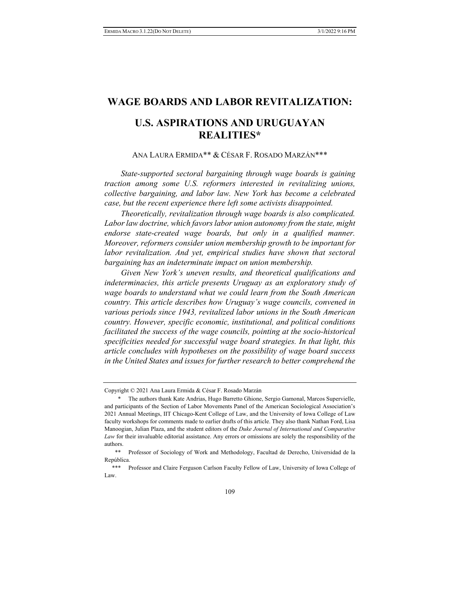# **WAGE BOARDS AND LABOR REVITALIZATION:**

# **U.S. ASPIRATIONS AND URUGUAYAN REALITIES\***

## ANA LAURA ERMIDA\*\* & CÉSAR F. ROSADO MARZÁN\*\*\*

*State-supported sectoral bargaining through wage boards is gaining traction among some U.S. reformers interested in revitalizing unions, collective bargaining, and labor law. New York has become a celebrated case, but the recent experience there left some activists disappointed.* 

*Theoretically, revitalization through wage boards is also complicated. Labor law doctrine, which favors labor union autonomy from the state, might endorse state-created wage boards, but only in a qualified manner. Moreover, reformers consider union membership growth to be important for*  labor revitalization. And yet, empirical studies have shown that sectoral *bargaining has an indeterminate impact on union membership.* 

*Given New York's uneven results, and theoretical qualifications and indeterminacies, this article presents Uruguay as an exploratory study of wage boards to understand what we could learn from the South American country. This article describes how Uruguay's wage councils, convened in various periods since 1943, revitalized labor unions in the South American country. However, specific economic, institutional, and political conditions facilitated the success of the wage councils, pointing at the socio-historical specificities needed for successful wage board strategies. In that light, this article concludes with hypotheses on the possibility of wage board success in the United States and issues for further research to better comprehend the* 

Copyright © 2021 Ana Laura Ermida & César F. Rosado Marzán

 <sup>\*</sup> The authors thank Kate Andrias, Hugo Barretto Ghione, Sergio Gamonal, Marcos Supervielle, and participants of the Section of Labor Movements Panel of the American Sociological Association's 2021 Annual Meetings, IIT Chicago-Kent College of Law, and the University of Iowa College of Law faculty workshops for comments made to earlier drafts of this article. They also thank Nathan Ford, Lisa Manoogian, Julian Plaza, and the student editors of the *Duke Journal of International and Comparative Law* for their invaluable editorial assistance. Any errors or omissions are solely the responsibility of the authors.

 <sup>\*\*</sup> Professor of Sociology of Work and Methodology, Facultad de Derecho, Universidad de la República.

 <sup>\*\*\*</sup> Professor and Claire Ferguson Carlson Faculty Fellow of Law, University of Iowa College of Law.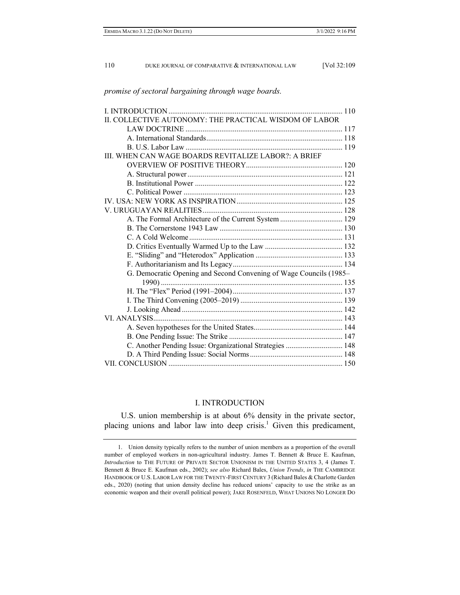| II. COLLECTIVE AUTONOMY: THE PRACTICAL WISDOM OF LABOR             |  |
|--------------------------------------------------------------------|--|
|                                                                    |  |
|                                                                    |  |
|                                                                    |  |
| III. WHEN CAN WAGE BOARDS REVITALIZE LABOR?: A BRIEF               |  |
|                                                                    |  |
|                                                                    |  |
|                                                                    |  |
|                                                                    |  |
|                                                                    |  |
|                                                                    |  |
| A. The Formal Architecture of the Current System  129              |  |
|                                                                    |  |
|                                                                    |  |
|                                                                    |  |
|                                                                    |  |
|                                                                    |  |
| G. Democratic Opening and Second Convening of Wage Councils (1985- |  |
|                                                                    |  |
|                                                                    |  |
|                                                                    |  |
|                                                                    |  |
|                                                                    |  |
|                                                                    |  |
|                                                                    |  |
| C. Another Pending Issue: Organizational Strategies  148           |  |
|                                                                    |  |
|                                                                    |  |

#### *promise of sectoral bargaining through wage boards.*

## I. INTRODUCTION

U.S. union membership is at about 6% density in the private sector, placing unions and labor law into deep crisis.<sup>1</sup> Given this predicament,

 <sup>1.</sup> Union density typically refers to the number of union members as a proportion of the overall number of employed workers in non-agricultural industry. James T. Bennett & Bruce E. Kaufman, *Introduction* to THE FUTURE OF PRIVATE SECTOR UNIONISM IN THE UNITED STATES 3, 4 (James T. Bennett & Bruce E. Kaufman eds., 2002); *see also* Richard Bales, *Union Trends*, *in* THE CAMBRIDGE HANDBOOK OF U.S. LABOR LAW FOR THE TWENTY-FIRST CENTURY 3 (Richard Bales & Charlotte Garden eds., 2020) (noting that union density decline has reduced unions' capacity to use the strike as an economic weapon and their overall political power); JAKE ROSENFELD, WHAT UNIONS NO LONGER DO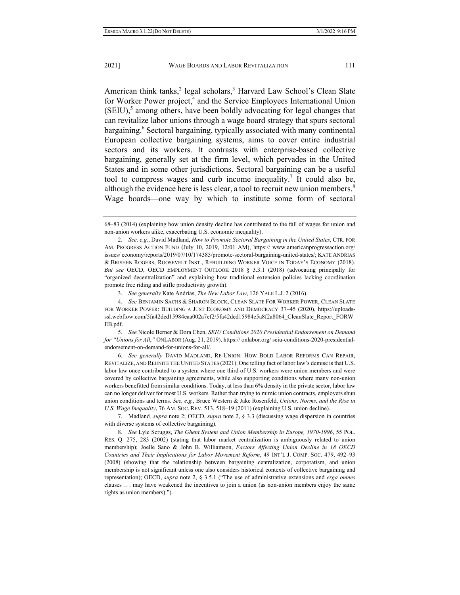American think tanks,<sup>2</sup> legal scholars,<sup>3</sup> Harvard Law School's Clean Slate for Worker Power project,<sup>4</sup> and the Service Employees International Union  $(SEIU)$ ,<sup>5</sup> among others, have been boldly advocating for legal changes that can revitalize labor unions through a wage board strategy that spurs sectoral bargaining.<sup>6</sup> Sectoral bargaining, typically associated with many continental European collective bargaining systems, aims to cover entire industrial sectors and its workers. It contrasts with enterprise-based collective bargaining, generally set at the firm level, which pervades in the United States and in some other jurisdictions. Sectoral bargaining can be a useful tool to compress wages and curb income inequality.<sup>7</sup> It could also be, although the evidence here is less clear, a tool to recruit new union members.<sup>8</sup> Wage boards—one way by which to institute some form of sectoral

3. *See generally* Kate Andrias, *The New Labor Law*, 126 YALE L.J. 2 (2016).

 4. *See* BENJAMIN SACHS & SHARON BLOCK, CLEAN SLATE FOR WORKER POWER, CLEAN SLATE FOR WORKER POWER: BUILDING A JUST ECONOMY AND DEMOCRACY 37–45 (2020), https://uploadsssl.webflow.com/5fa42ded15984eaa002a7ef2/5fa42ded15984e5a8f2a8064\_CleanSlate\_Report\_FORW EB.pdf.

 5. *See* Nicole Berner & Dora Chen, *SEIU Conditions 2020 Presidential Endorsement on Demand for "Unions for All*,*"* ONLABOR (Aug. 21, 2019), https:// onlabor.org/ seiu-conditions-2020-presidentialendorsement-on-demand-for-unions-for-all/.

 6. *See generally* DAVID MADLAND, RE-UNION: HOW BOLD LABOR REFORMS CAN REPAIR, REVITALIZE, AND REUNITE THE UNITED STATES (2021). One telling fact of labor law's demise is that U.S. labor law once contributed to a system where one third of U.S. workers were union members and were covered by collective bargaining agreements, while also supporting conditions where many non-union workers benefitted from similar conditions. Today, at less than 6% density in the private sector, labor law can no longer deliver for most U.S. workers. Rather than trying to mimic union contracts, employers shun union conditions and terms. *See, e.g.*, Bruce Western & Jake Rosenfeld, *Unions, Norms, and the Rise in U.S. Wage Inequality*, 76 AM. SOC. REV. 513, 518–19 (2011) (explaining U.S. union decline).

 7. Madland*, supra* note 2; OECD, *supra* note 2, § 3.3 (discussing wage dispersion in countries with diverse systems of collective bargaining).

 8. *See* Lyle Scruggs, *The Ghent System and Union Membership in Europe, 1970*-*1996*, 55 POL. RES. Q. 275, 283 (2002) (stating that labor market centralization is ambiguously related to union membership); Joelle Sano & John B. Williamson, *Factors Affecting Union Decline in 18 OECD Countries and Their Implications for Labor Movement Reform*, 49 INT'L J. COMP. SOC. 479, 492–93 (2008) (showing that the relationship between bargaining centralization, corporatism, and union membership is not significant unless one also considers historical contexts of collective bargaining and representation); OECD, *supra* note 2, § 3.5.1 ("The use of administrative extensions and *erga omnes* clauses . . . may have weakened the incentives to join a union (as non-union members enjoy the same rights as union members).").

<sup>68–83 (2014) (</sup>explaining how union density decline has contributed to the fall of wages for union and non-union workers alike, exacerbating U.S. economic inequality).

 <sup>2.</sup> *See, e.g.*, David Madland, *How to Promote Sectoral Bargaining in the United States*, CTR. FOR AM. PROGRESS ACTION FUND (July 10, 2019, 12:01 AM), https:// www.americanprogressaction.org/ issues/ economy/reports/2019/07/10/174385/promote-sectoral-bargaining-united-states/; KATE ANDRIAS & BRISHEN ROGERS, ROOSEVELT INST., REBUILDING WORKER VOICE IN TODAY'S ECONOMY (2018). *But see* OECD, OECD EMPLOYMENT OUTLOOK 2018 § 3.3.1 (2018) (advocating principally for "organized decentralization" and explaining how traditional extension policies lacking coordination promote free riding and stifle productivity growth).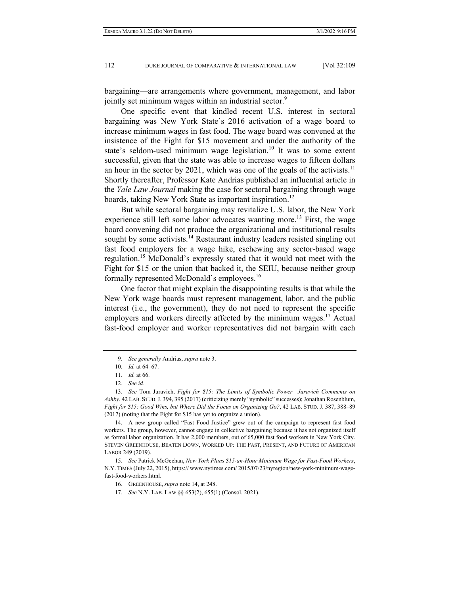bargaining—are arrangements where government, management, and labor jointly set minimum wages within an industrial sector.<sup>9</sup>

One specific event that kindled recent U.S. interest in sectoral bargaining was New York State's 2016 activation of a wage board to increase minimum wages in fast food. The wage board was convened at the insistence of the Fight for \$15 movement and under the authority of the state's seldom-used minimum wage legislation.<sup>10</sup> It was to some extent successful, given that the state was able to increase wages to fifteen dollars an hour in the sector by 2021, which was one of the goals of the activists.<sup>11</sup> Shortly thereafter, Professor Kate Andrias published an influential article in the *Yale Law Journal* making the case for sectoral bargaining through wage boards, taking New York State as important inspiration.<sup>12</sup>

But while sectoral bargaining may revitalize U.S. labor, the New York experience still left some labor advocates wanting more.<sup>13</sup> First, the wage board convening did not produce the organizational and institutional results sought by some activists.<sup>14</sup> Restaurant industry leaders resisted singling out fast food employers for a wage hike, eschewing any sector-based wage regulation.<sup>15</sup> McDonald's expressly stated that it would not meet with the Fight for \$15 or the union that backed it, the SEIU, because neither group formally represented McDonald's employees.16

One factor that might explain the disappointing results is that while the New York wage boards must represent management, labor, and the public interest (i.e., the government), they do not need to represent the specific employers and workers directly affected by the minimum wages.<sup>17</sup> Actual fast-food employer and worker representatives did not bargain with each

 14. A new group called "Fast Food Justice" grew out of the campaign to represent fast food workers. The group, however, cannot engage in collective bargaining because it has not organized itself as formal labor organization. It has 2,000 members, out of 65,000 fast food workers in New York City. STEVEN GREENHOUSE, BEATEN DOWN, WORKED UP: THE PAST, PRESENT, AND FUTURE OF AMERICAN LABOR 249 (2019).

 15. *See* Patrick McGeehan, *New York Plans \$15-an-Hour Minimum Wage for Fast-Food Workers*, N.Y. TIMES (July 22, 2015), https:// www.nytimes.com/ 2015/07/23/nyregion/new-york-minimum-wagefast-food-workers.html.

17. *See* N.Y. LAB. LAW §§ 653(2), 655(1) (Consol. 2021).

 <sup>9.</sup> *See generally* Andrias, *supra* note 3.

 <sup>10.</sup> *Id.* at 64–67.

 <sup>11.</sup> *Id.* at 66.

 <sup>12.</sup> *See id.*

 <sup>13.</sup> *See* Tom Juravich, *Fight for \$15: The Limits of Symbolic Power—Juravich Comments on Ashby*, 42 LAB. STUD.J. 394, 395 (2017) (criticizing merely "symbolic" successes); Jonathan Rosenblum, *Fight for \$15: Good Wins, but Where Did the Focus on Organizing Go?*, 42 LAB. STUD. J. 387, 388–89 (2017) (noting that the Fight for \$15 has yet to organize a union).

 <sup>16.</sup> GREENHOUSE, *supra* note 14, at 248.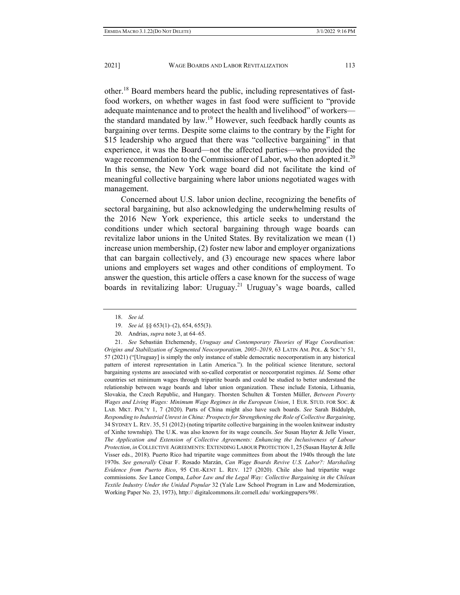other.18 Board members heard the public, including representatives of fastfood workers, on whether wages in fast food were sufficient to "provide adequate maintenance and to protect the health and livelihood" of workers the standard mandated by law.<sup>19</sup> However, such feedback hardly counts as bargaining over terms. Despite some claims to the contrary by the Fight for \$15 leadership who argued that there was "collective bargaining" in that experience, it was the Board—not the affected parties—who provided the wage recommendation to the Commissioner of Labor, who then adopted it.<sup>20</sup> In this sense, the New York wage board did not facilitate the kind of meaningful collective bargaining where labor unions negotiated wages with management.

Concerned about U.S. labor union decline, recognizing the benefits of sectoral bargaining, but also acknowledging the underwhelming results of the 2016 New York experience, this article seeks to understand the conditions under which sectoral bargaining through wage boards can revitalize labor unions in the United States. By revitalization we mean (1) increase union membership, (2) foster new labor and employer organizations that can bargain collectively, and (3) encourage new spaces where labor unions and employers set wages and other conditions of employment. To answer the question, this article offers a case known for the success of wage boards in revitalizing labor: Uruguay.<sup>21</sup> Uruguay's wage boards, called

 21. *See* Sebastián Etchemendy, *Uruguay and Contemporary Theories of Wage Coordination: Origins and Stabilization of Segmented Neocorporatism, 2005–2019*, 63 LATIN AM. POL. & SOC'Y 51, 57 (2021) ("[Uruguay] is simply the only instance of stable democratic neocorporatism in any historical pattern of interest representation in Latin America."). In the political science literature, sectoral bargaining systems are associated with so-called corporatist or neocorporatist regimes. *Id.* Some other countries set minimum wages through tripartite boards and could be studied to better understand the relationship between wage boards and labor union organization. These include Estonia, Lithuania, Slovakia, the Czech Republic, and Hungary. Thorsten Schulten & Torsten Müller, *Between Poverty Wages and Living Wages: Minimum Wage Regimes in the European Union*, 1 EUR. STUD. FOR SOC. & LAB. MKT. POL'Y 1, 7 (2020). Parts of China might also have such boards. *See* Sarah Biddulph, *Responding to Industrial Unrest in China: Prospects for Strengthening the Role of Collective Bargaining*, 34 SYDNEY L. REV. 35, 51 (2012) (noting tripartite collective bargaining in the woolen knitwear industry of Xinhe township). The U.K. was also known for its wage councils. *See* Susan Hayter & Jelle Visser, *The Application and Extension of Collective Agreements: Enhancing the Inclusiveness of Labour Protection*, *in* COLLECTIVE AGREEMENTS: EXTENDING LABOUR PROTECTION 1, 25 (Susan Hayter & Jelle Visser eds., 2018). Puerto Rico had tripartite wage committees from about the 1940s through the late 1970s. *See generally* César F. Rosado Marzán, *Can Wage Boards Revive U.S. Labor?: Marshaling Evidence from Puerto Rico*, 95 CHI.-KENT L. REV. 127 (2020). Chile also had tripartite wage commissions. *See* Lance Compa, *Labor Law and the Legal Way: Collective Bargaining in the Chilean Textile Industry Under the Unidad Popular* 32 (Yale Law School Program in Law and Modernization, Working Paper No. 23, 1973), http:// digitalcommons.ilr.cornell.edu/ workingpapers/98/.

 <sup>18.</sup> *See id.*

 <sup>19.</sup> *See id.* §§ 653(1)–(2), 654, 655(3).

 <sup>20.</sup> Andrias, *supra* note 3, at 64–65.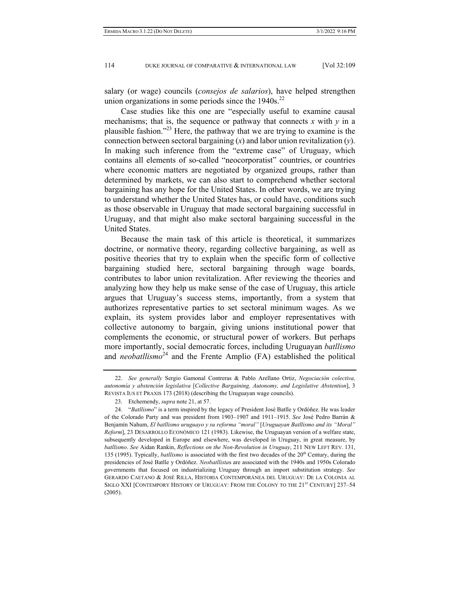salary (or wage) councils (*consejos de salarios*), have helped strengthen union organizations in some periods since the  $1940s$ <sup>22</sup>

Case studies like this one are "especially useful to examine causal mechanisms; that is, the sequence or pathway that connects  $x$  with  $y$  in a plausible fashion."<sup>23</sup> Here, the pathway that we are trying to examine is the connection between sectoral bargaining (*x*) and labor union revitalization (*y*). In making such inference from the "extreme case" of Uruguay, which contains all elements of so-called "neocorporatist" countries, or countries where economic matters are negotiated by organized groups, rather than determined by markets, we can also start to comprehend whether sectoral bargaining has any hope for the United States. In other words, we are trying to understand whether the United States has, or could have, conditions such as those observable in Uruguay that made sectoral bargaining successful in Uruguay, and that might also make sectoral bargaining successful in the United States.

Because the main task of this article is theoretical, it summarizes doctrine, or normative theory, regarding collective bargaining, as well as positive theories that try to explain when the specific form of collective bargaining studied here, sectoral bargaining through wage boards, contributes to labor union revitalization. After reviewing the theories and analyzing how they help us make sense of the case of Uruguay, this article argues that Uruguay's success stems, importantly, from a system that authorizes representative parties to set sectoral minimum wages. As we explain, its system provides labor and employer representatives with collective autonomy to bargain, giving unions institutional power that complements the economic, or structural power of workers. But perhaps more importantly, social democratic forces, including Uruguayan *batllismo*  and *neobatllismo*<sup>24</sup> and the Frente Amplio (FA) established the political

 <sup>22.</sup> *See generally* Sergio Gamonal Contreras & Pablo Arellano Ortiz, *Negociación colectiva, autonomía y abstención legislativa* [*Collective Bargaining, Autonomy, and Legislative Abstention*], 3 REVISTA IUS ET PRAXIS 173 (2018) (describing the Uruguayan wage councils).

 <sup>23.</sup> Etchemendy, *supra* note 21, at 57.

 <sup>24. &</sup>quot;*Batllismo*" is a term inspired by the legacy of President José Batlle y Ordóñez. He was leader of the Colorado Party and was president from 1903–1907 and 1911–1915. *See* José Pedro Barrán & Benjamín Nahum, *El batllismo uruguayo y su reforma "moral"* [*Uruguayan Batllismo and its "Moral" Reform*], 23 DESARROLLO ECONÓMICO 121 (1983). Likewise, the Uruguayan version of a welfare state, subsequently developed in Europe and elsewhere, was developed in Uruguay, in great measure, by *batllismo*. *See* Aidan Rankin, *Reflections on the Non-Revolution in Uruguay*, 211 NEW LEFT REV. 131, 135 (1995). Typically, *batllismo* is associated with the first two decades of the 20<sup>th</sup> Century, during the presidencies of José Batlle y Ordóñez. *Neobatllista*s are associated with the 1940s and 1950s Colorado governments that focused on industrializing Uruguay through an import substitution strategy. *See* GERARDO CAETANO & JOSÉ RILLA, HISTORIA CONTEMPORÁNEA DEL URUGUAY: DE LA COLONIA AL SIGLO XXI [CONTEMPORY HISTORY OF URUGUAY: FROM THE COLONY TO THE 21<sup>ST</sup> CENTURY] 237-54 (2005).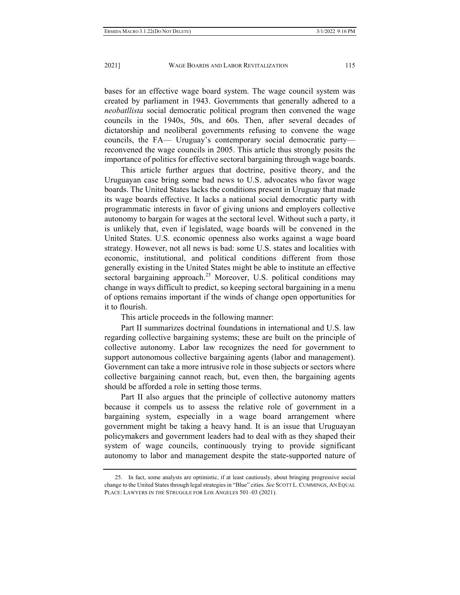bases for an effective wage board system. The wage council system was created by parliament in 1943. Governments that generally adhered to a *neobatllista* social democratic political program then convened the wage councils in the 1940s, 50s, and 60s. Then, after several decades of dictatorship and neoliberal governments refusing to convene the wage councils, the FA— Uruguay's contemporary social democratic party reconvened the wage councils in 2005. This article thus strongly posits the importance of politics for effective sectoral bargaining through wage boards.

This article further argues that doctrine, positive theory, and the Uruguayan case bring some bad news to U.S. advocates who favor wage boards. The United States lacks the conditions present in Uruguay that made its wage boards effective. It lacks a national social democratic party with programmatic interests in favor of giving unions and employers collective autonomy to bargain for wages at the sectoral level. Without such a party, it is unlikely that, even if legislated, wage boards will be convened in the United States. U.S. economic openness also works against a wage board strategy. However, not all news is bad: some U.S. states and localities with economic, institutional, and political conditions different from those generally existing in the United States might be able to institute an effective sectoral bargaining approach.<sup>25</sup> Moreover, U.S. political conditions may change in ways difficult to predict, so keeping sectoral bargaining in a menu of options remains important if the winds of change open opportunities for it to flourish.

This article proceeds in the following manner:

Part II summarizes doctrinal foundations in international and U.S. law regarding collective bargaining systems; these are built on the principle of collective autonomy. Labor law recognizes the need for government to support autonomous collective bargaining agents (labor and management). Government can take a more intrusive role in those subjects or sectors where collective bargaining cannot reach, but, even then, the bargaining agents should be afforded a role in setting those terms.

Part II also argues that the principle of collective autonomy matters because it compels us to assess the relative role of government in a bargaining system, especially in a wage board arrangement where government might be taking a heavy hand. It is an issue that Uruguayan policymakers and government leaders had to deal with as they shaped their system of wage councils, continuously trying to provide significant autonomy to labor and management despite the state-supported nature of

 <sup>25.</sup> In fact, some analysts are optimistic, if at least cautiously, about bringing progressive social change to the United States through legal strategies in "Blue" cities. *See* SCOTT L. CUMMINGS, AN EQUAL PLACE: LAWYERS IN THE STRUGGLE FOR LOS ANGELES 501–03 (2021).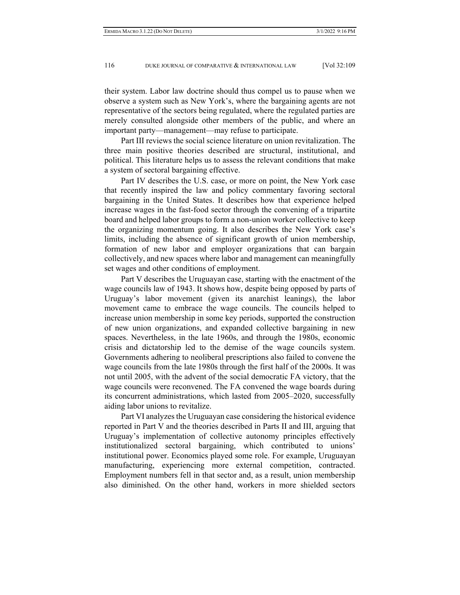their system. Labor law doctrine should thus compel us to pause when we observe a system such as New York's, where the bargaining agents are not representative of the sectors being regulated, where the regulated parties are merely consulted alongside other members of the public, and where an important party—management—may refuse to participate.

Part III reviews the social science literature on union revitalization. The three main positive theories described are structural, institutional, and political. This literature helps us to assess the relevant conditions that make a system of sectoral bargaining effective.

Part IV describes the U.S. case, or more on point, the New York case that recently inspired the law and policy commentary favoring sectoral bargaining in the United States. It describes how that experience helped increase wages in the fast-food sector through the convening of a tripartite board and helped labor groups to form a non-union worker collective to keep the organizing momentum going. It also describes the New York case's limits, including the absence of significant growth of union membership, formation of new labor and employer organizations that can bargain collectively, and new spaces where labor and management can meaningfully set wages and other conditions of employment.

Part V describes the Uruguayan case, starting with the enactment of the wage councils law of 1943. It shows how, despite being opposed by parts of Uruguay's labor movement (given its anarchist leanings), the labor movement came to embrace the wage councils. The councils helped to increase union membership in some key periods, supported the construction of new union organizations, and expanded collective bargaining in new spaces. Nevertheless, in the late 1960s, and through the 1980s, economic crisis and dictatorship led to the demise of the wage councils system. Governments adhering to neoliberal prescriptions also failed to convene the wage councils from the late 1980s through the first half of the 2000s. It was not until 2005, with the advent of the social democratic FA victory, that the wage councils were reconvened. The FA convened the wage boards during its concurrent administrations, which lasted from 2005–2020, successfully aiding labor unions to revitalize.

Part VI analyzes the Uruguayan case considering the historical evidence reported in Part V and the theories described in Parts II and III, arguing that Uruguay's implementation of collective autonomy principles effectively institutionalized sectoral bargaining, which contributed to unions' institutional power. Economics played some role. For example, Uruguayan manufacturing, experiencing more external competition, contracted. Employment numbers fell in that sector and, as a result, union membership also diminished. On the other hand, workers in more shielded sectors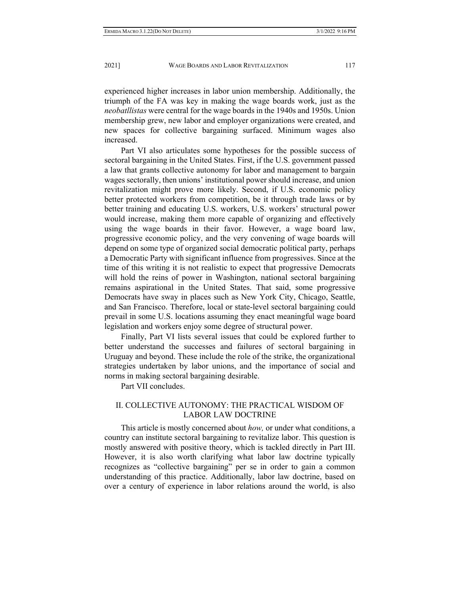experienced higher increases in labor union membership. Additionally, the triumph of the FA was key in making the wage boards work, just as the *neobatllistas* were central for the wage boards in the 1940s and 1950s. Union membership grew, new labor and employer organizations were created, and new spaces for collective bargaining surfaced. Minimum wages also increased.

Part VI also articulates some hypotheses for the possible success of sectoral bargaining in the United States. First, if the U.S. government passed a law that grants collective autonomy for labor and management to bargain wages sectorally, then unions' institutional power should increase, and union revitalization might prove more likely. Second, if U.S. economic policy better protected workers from competition, be it through trade laws or by better training and educating U.S. workers, U.S. workers' structural power would increase, making them more capable of organizing and effectively using the wage boards in their favor. However, a wage board law, progressive economic policy, and the very convening of wage boards will depend on some type of organized social democratic political party, perhaps a Democratic Party with significant influence from progressives. Since at the time of this writing it is not realistic to expect that progressive Democrats will hold the reins of power in Washington, national sectoral bargaining remains aspirational in the United States. That said, some progressive Democrats have sway in places such as New York City, Chicago, Seattle, and San Francisco. Therefore, local or state-level sectoral bargaining could prevail in some U.S. locations assuming they enact meaningful wage board legislation and workers enjoy some degree of structural power.

Finally, Part VI lists several issues that could be explored further to better understand the successes and failures of sectoral bargaining in Uruguay and beyond. These include the role of the strike, the organizational strategies undertaken by labor unions, and the importance of social and norms in making sectoral bargaining desirable.

Part VII concludes.

## II. COLLECTIVE AUTONOMY: THE PRACTICAL WISDOM OF LABOR LAW DOCTRINE

This article is mostly concerned about *how,* or under what conditions, a country can institute sectoral bargaining to revitalize labor. This question is mostly answered with positive theory, which is tackled directly in Part III. However, it is also worth clarifying what labor law doctrine typically recognizes as "collective bargaining" per se in order to gain a common understanding of this practice. Additionally, labor law doctrine, based on over a century of experience in labor relations around the world, is also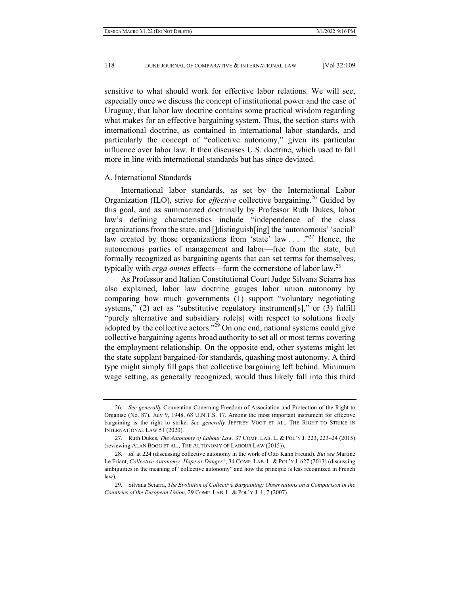sensitive to what should work for effective labor relations. We will see, especially once we discuss the concept of institutional power and the case of Uruguay, that labor law doctrine contains some practical wisdom regarding what makes for an effective bargaining system. Thus, the section starts with international doctrine, as contained in international labor standards, and particularly the concept of "collective autonomy," given its particular influence over labor law. It then discusses U.S. doctrine, which used to fall more in line with international standards but has since deviated.

#### A. International Standards

International labor standards, as set by the International Labor Organization (ILO), strive for *effective* collective bargaining.<sup>26</sup> Guided by this goal, and as summarized doctrinally by Professor Ruth Dukes, labor law's defining characteristics include "independence of the class organizations from the state, and []distinguish[ing] the 'autonomous' 'social' law created by those organizations from 'state' law  $\ldots$  ...  $\frac{1}{27}$  Hence, the autonomous parties of management and labor—free from the state, but formally recognized as bargaining agents that can set terms for themselves, typically with *erga omnes* effects—form the cornerstone of labor law.28

As Professor and Italian Constitutional Court Judge Silvana Sciarra has also explained, labor law doctrine gauges labor union autonomy by comparing how much governments (1) support "voluntary negotiating systems," (2) act as "substitutive regulatory instrument[s]," or (3) fulfill "purely alternative and subsidiary role<sup>[s]</sup> with respect to solutions freely adopted by the collective actors."<sup>29</sup> On one end, national systems could give collective bargaining agents broad authority to set all or most terms covering the employment relationship. On the opposite end, other systems might let the state supplant bargained-for standards, quashing most autonomy. A third type might simply fill gaps that collective bargaining left behind. Minimum wage setting, as generally recognized, would thus likely fall into this third

 <sup>26.</sup> *See generally* Convention Conerning Freedom of Association and Protection of the Right to Organise (No. 87), July 9, 1948, 68 U.N.T.S. 17. Among the most important instrument for effective bargaining is the right to strike. *See generally* JEFFREY VOGT ET AL., THE RIGHT TO STRIKE IN INTERNATIONAL LAW 51 (2020).

 <sup>27.</sup> Ruth Dukes, *The Autonomy of Labour Law*, 37 COMP. LAB. L. & POL'Y J. 223, 223–24 (2015) (reviewing ALAN BOGG ET AL., THE AUTONOMY OF LABOUR LAW (2015)).

 <sup>28.</sup> *Id.* at 224 (discussing collective autonomy in the work of Otto Kahn Freund). *But see* Martine Le Friant, *Collective Autonomy: Hope or Danger?*, 34 COMP. LAB. L. & POL'Y J. 627 (2013) (discussing ambiguities in the meaning of "collective autonomy" and how the principle is less recognized in French law).

 <sup>29.</sup> Silvana Sciarra, *The Evolution of Collective Bargaining: Observations on a Comparison in the Countries of the European Union*, 29 COMP. LAB. L. & POL'Y J. 1, 7 (2007)*.*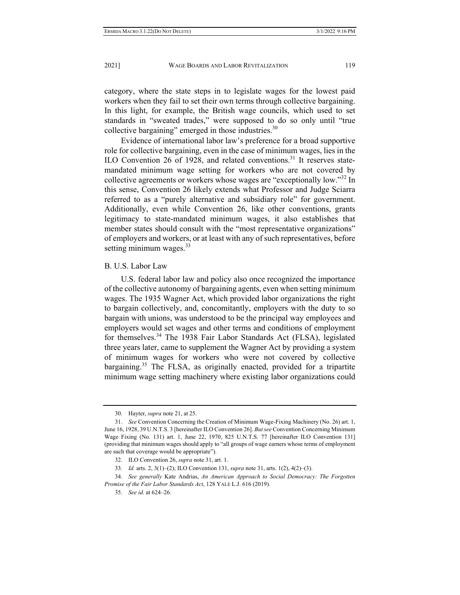category, where the state steps in to legislate wages for the lowest paid workers when they fail to set their own terms through collective bargaining. In this light, for example, the British wage councils, which used to set standards in "sweated trades," were supposed to do so only until "true collective bargaining" emerged in those industries. $30$ 

Evidence of international labor law's preference for a broad supportive role for collective bargaining, even in the case of minimum wages, lies in the ILO Convention 26 of 1928, and related conventions.<sup>31</sup> It reserves statemandated minimum wage setting for workers who are not covered by collective agreements or workers whose wages are "exceptionally low."32 In this sense, Convention 26 likely extends what Professor and Judge Sciarra referred to as a "purely alternative and subsidiary role" for government. Additionally, even while Convention 26, like other conventions, grants legitimacy to state-mandated minimum wages, it also establishes that member states should consult with the "most representative organizations" of employers and workers, or at least with any of such representatives, before setting minimum wages. $33$ 

## B. U.S. Labor Law

U.S. federal labor law and policy also once recognized the importance of the collective autonomy of bargaining agents, even when setting minimum wages. The 1935 Wagner Act, which provided labor organizations the right to bargain collectively, and, concomitantly, employers with the duty to so bargain with unions, was understood to be the principal way employees and employers would set wages and other terms and conditions of employment for themselves.<sup>34</sup> The 1938 Fair Labor Standards Act (FLSA), legislated three years later, came to supplement the Wagner Act by providing a system of minimum wages for workers who were not covered by collective bargaining.<sup>35</sup> The FLSA, as originally enacted, provided for a tripartite minimum wage setting machinery where existing labor organizations could

 <sup>30.</sup> Hayter, *supra* note 21, at 25.

 <sup>31.</sup> *See* Convention Concerning the Creation of Minimum Wage-Fixing Machinery (No. 26) art. 1, June 16, 1928, 39 U.N.T.S. 3 [hereinafter ILO Convention 26]. *But see* Convention Concerning Minimum Wage Fixing (No. 131) art. 1, June 22, 1970, 825 U.N.T.S. 77 [hereinafter ILO Convention 131] (providing that minimum wages should apply to "all groups of wage earners whose terms of employment are such that coverage would be appropriate").

 <sup>32.</sup> ILO Convention 26, *supra* note 31, art. 1.

<sup>33</sup>*. Id.* arts. 2, 3(1)–(2); ILO Convention 131, *supra* note 31, arts. 1(2), 4(2)–(3).

 <sup>34.</sup> *See generally* Kate Andrias, *An American Approach to Social Democracy: The Forgotten Promise of the Fair Labor Standards Act*, 128 YALE L.J. 616 (2019).

 <sup>35.</sup> *See id.* at 624–26.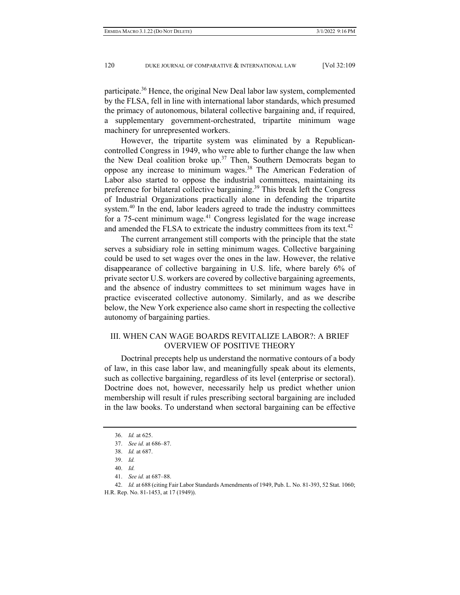participate.36 Hence, the original New Deal labor law system, complemented by the FLSA, fell in line with international labor standards, which presumed the primacy of autonomous, bilateral collective bargaining and, if required, a supplementary government-orchestrated, tripartite minimum wage machinery for unrepresented workers.

However, the tripartite system was eliminated by a Republicancontrolled Congress in 1949, who were able to further change the law when the New Deal coalition broke up.<sup>37</sup> Then, Southern Democrats began to oppose any increase to minimum wages.38 The American Federation of Labor also started to oppose the industrial committees, maintaining its preference for bilateral collective bargaining.<sup>39</sup> This break left the Congress of Industrial Organizations practically alone in defending the tripartite system. $40$  In the end, labor leaders agreed to trade the industry committees for a 75-cent minimum wage.41 Congress legislated for the wage increase and amended the FLSA to extricate the industry committees from its text. $42$ 

The current arrangement still comports with the principle that the state serves a subsidiary role in setting minimum wages. Collective bargaining could be used to set wages over the ones in the law. However, the relative disappearance of collective bargaining in U.S. life, where barely 6% of private sector U.S. workers are covered by collective bargaining agreements, and the absence of industry committees to set minimum wages have in practice eviscerated collective autonomy. Similarly, and as we describe below, the New York experience also came short in respecting the collective autonomy of bargaining parties.

# III. WHEN CAN WAGE BOARDS REVITALIZE LABOR?: A BRIEF OVERVIEW OF POSITIVE THEORY

Doctrinal precepts help us understand the normative contours of a body of law, in this case labor law, and meaningfully speak about its elements, such as collective bargaining, regardless of its level (enterprise or sectoral). Doctrine does not, however, necessarily help us predict whether union membership will result if rules prescribing sectoral bargaining are included in the law books. To understand when sectoral bargaining can be effective

41. *See id.* at 687–88.

 <sup>36.</sup> *Id.* at 625.

 <sup>37.</sup> *See id.* at 686–87.

 <sup>38.</sup> *Id.* at 687.

 <sup>39.</sup> *Id.*

 <sup>40.</sup> *Id.*

 <sup>42.</sup> *Id.* at 688 (citing Fair Labor Standards Amendments of 1949, Pub. L. No. 81-393, 52 Stat. 1060; H.R. Rep. No. 81-1453, at 17 (1949)).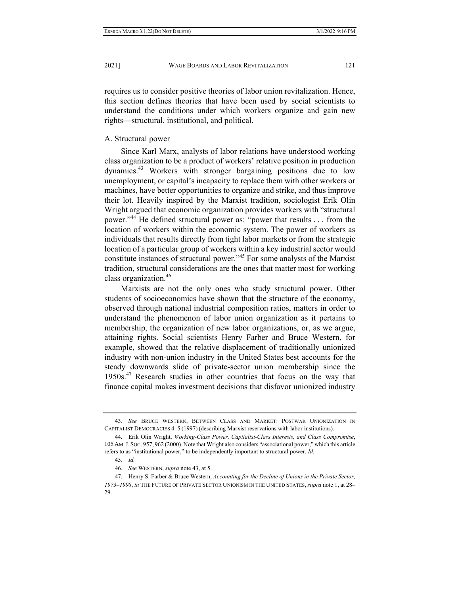#### A. Structural power

rights—structural, institutional, and political.

Since Karl Marx, analysts of labor relations have understood working class organization to be a product of workers' relative position in production dynamics.43 Workers with stronger bargaining positions due to low unemployment, or capital's incapacity to replace them with other workers or machines, have better opportunities to organize and strike, and thus improve their lot. Heavily inspired by the Marxist tradition, sociologist Erik Olin Wright argued that economic organization provides workers with "structural power."<sup>44</sup> He defined structural power as: "power that results . . . from the location of workers within the economic system. The power of workers as individuals that results directly from tight labor markets or from the strategic location of a particular group of workers within a key industrial sector would constitute instances of structural power."45 For some analysts of the Marxist tradition, structural considerations are the ones that matter most for working class organization.46

Marxists are not the only ones who study structural power. Other students of socioeconomics have shown that the structure of the economy, observed through national industrial composition ratios, matters in order to understand the phenomenon of labor union organization as it pertains to membership, the organization of new labor organizations, or, as we argue, attaining rights. Social scientists Henry Farber and Bruce Western, for example, showed that the relative displacement of traditionally unionized industry with non-union industry in the United States best accounts for the steady downwards slide of private-sector union membership since the  $1950s<sup>47</sup>$  Research studies in other countries that focus on the way that finance capital makes investment decisions that disfavor unionized industry

 <sup>43.</sup> *See* BRUCE WESTERN, BETWEEN CLASS AND MARKET: POSTWAR UNIONIZATION IN CAPITALIST DEMOCRACIES 4–5 (1997) (describing Marxist reservations with labor institutions).

 <sup>44.</sup> Erik Olin Wright, *Working-Class Power, Capitalist-Class Interests, and Class Compromise*, 105 AM.J. SOC. 957, 962 (2000). Note that Wright also considers "associational power," which this article refers to as "institutional power," to be independently important to structural power. *Id.*

 <sup>45.</sup> *Id.* 

 <sup>46.</sup> *See* WESTERN, *supra* note 43, at 5.

 <sup>47.</sup> Henry S. Farber & Bruce Western, *Accounting for the Decline of Unions in the Private Sector, 1973–1998*, *in* THE FUTURE OF PRIVATE SECTOR UNIONISM IN THE UNITED STATES, *supra* note 1, at 28– 29.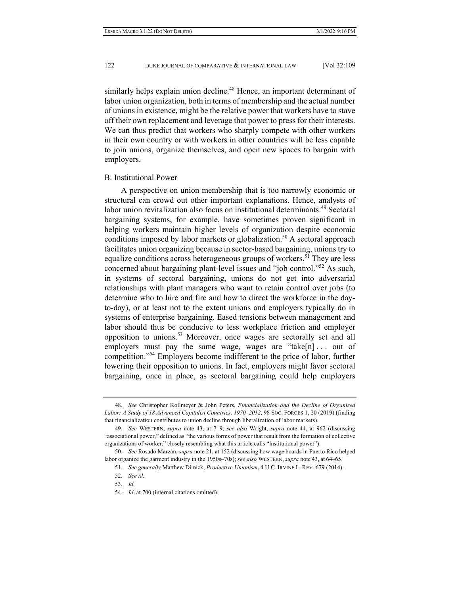similarly helps explain union decline.<sup>48</sup> Hence, an important determinant of labor union organization, both in terms of membership and the actual number of unions in existence, might be the relative power that workers have to stave off their own replacement and leverage that power to press for their interests. We can thus predict that workers who sharply compete with other workers in their own country or with workers in other countries will be less capable to join unions, organize themselves, and open new spaces to bargain with employers.

### B. Institutional Power

A perspective on union membership that is too narrowly economic or structural can crowd out other important explanations. Hence, analysts of labor union revitalization also focus on institutional determinants.<sup>49</sup> Sectoral bargaining systems, for example, have sometimes proven significant in helping workers maintain higher levels of organization despite economic conditions imposed by labor markets or globalization.<sup>50</sup> A sectoral approach facilitates union organizing because in sector-based bargaining, unions try to equalize conditions across heterogeneous groups of workers.<sup>51</sup> They are less concerned about bargaining plant-level issues and "job control."52 As such, in systems of sectoral bargaining, unions do not get into adversarial relationships with plant managers who want to retain control over jobs (to determine who to hire and fire and how to direct the workforce in the dayto-day), or at least not to the extent unions and employers typically do in systems of enterprise bargaining. Eased tensions between management and labor should thus be conducive to less workplace friction and employer opposition to unions.53 Moreover, once wages are sectorally set and all employers must pay the same wage, wages are "take[n]... out of competition."54 Employers become indifferent to the price of labor, further lowering their opposition to unions. In fact, employers might favor sectoral bargaining, once in place, as sectoral bargaining could help employers

 <sup>48.</sup> *See* Christopher Kollmeyer & John Peters, *Financialization and the Decline of Organized Labor: A Study of 18 Advanced Capitalist Countries, 1970–2012*, 98 SOC. FORCES 1, 20 (2019) (finding that financialization contributes to union decline through liberalization of labor markets).

 <sup>49.</sup> *See* WESTERN, *supra* note 43, at 7–9; *see also* Wright, *supra* note 44, at 962 (discussing "associational power," defined as "the various forms of power that result from the formation of collective organizations of worker," closely resembling what this article calls "institutional power").

 <sup>50.</sup> *See* Rosado Marzán, *supra* note 21, at 152 (discussing how wage boards in Puerto Rico helped labor organize the garment industry in the 1950s–70s); *see also* WESTERN, *supra* note 43, at 64–65.

 <sup>51.</sup> *See generally* Matthew Dimick, *Productive Unionism*, 4 U.C. IRVINE L. REV. 679 (2014).

 <sup>52.</sup> *See id.*

 <sup>53.</sup> *Id.*

 <sup>54.</sup> *Id.* at 700 (internal citations omitted).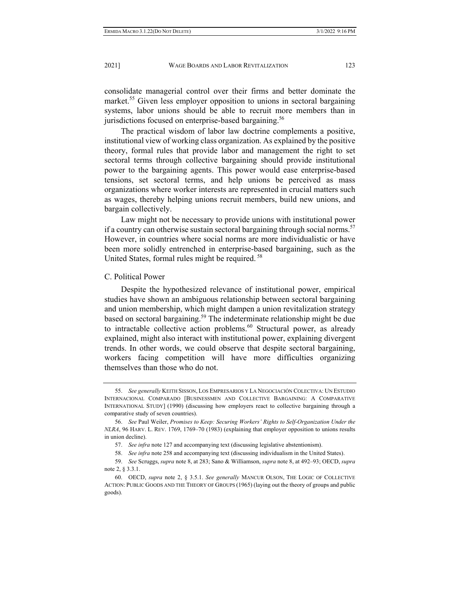consolidate managerial control over their firms and better dominate the market.<sup>55</sup> Given less employer opposition to unions in sectoral bargaining systems, labor unions should be able to recruit more members than in jurisdictions focused on enterprise-based bargaining.<sup>56</sup>

The practical wisdom of labor law doctrine complements a positive, institutional view of working class organization. As explained by the positive theory, formal rules that provide labor and management the right to set sectoral terms through collective bargaining should provide institutional power to the bargaining agents. This power would ease enterprise-based tensions, set sectoral terms, and help unions be perceived as mass organizations where worker interests are represented in crucial matters such as wages, thereby helping unions recruit members, build new unions, and bargain collectively.

Law might not be necessary to provide unions with institutional power if a country can otherwise sustain sectoral bargaining through social norms.<sup>57</sup> However, in countries where social norms are more individualistic or have been more solidly entrenched in enterprise-based bargaining, such as the United States, formal rules might be required. 58

### C. Political Power

Despite the hypothesized relevance of institutional power, empirical studies have shown an ambiguous relationship between sectoral bargaining and union membership, which might dampen a union revitalization strategy based on sectoral bargaining.<sup>59</sup> The indeterminate relationship might be due to intractable collective action problems.<sup>60</sup> Structural power, as already explained, might also interact with institutional power, explaining divergent trends. In other words, we could observe that despite sectoral bargaining, workers facing competition will have more difficulties organizing themselves than those who do not.

 <sup>55.</sup> *See generally* KEITH SISSON, LOS EMPRESARIOS Y LA NEGOCIACIÓN COLECTIVA: UN ESTUDIO INTERNACIONAL COMPARADO [BUSINESSMEN AND COLLECTIVE BARGAINING: A COMPARATIVE INTERNATIONAL STUDY] (1990) (discussing how employers react to collective bargaining through a comparative study of seven countries).

 <sup>56.</sup> *See* Paul Weiler, *Promises to Keep: Securing Workers' Rights to Self-Organization Under the NLRA*, 96 HARV. L. REV. 1769, 1769–70 (1983) (explaining that employer opposition to unions results in union decline).

 <sup>57.</sup> *See infra* note 127 and accompanying text (discussing legislative abstentionism).

 <sup>58.</sup> *See infra* note 258 and accompanying text (discussing individualism in the United States).

 <sup>59.</sup> *See* Scruggs, *supra* note 8, at 283; Sano & Williamson, *supra* note 8, at 492–93; OECD, *supra*  note 2, § 3.3.1.

 <sup>60.</sup> OECD, *supra* note 2, § 3.5.1. *See generally* MANCUR OLSON, THE LOGIC OF COLLECTIVE ACTION: PUBLIC GOODS AND THE THEORY OF GROUPS (1965) (laying out the theory of groups and public goods).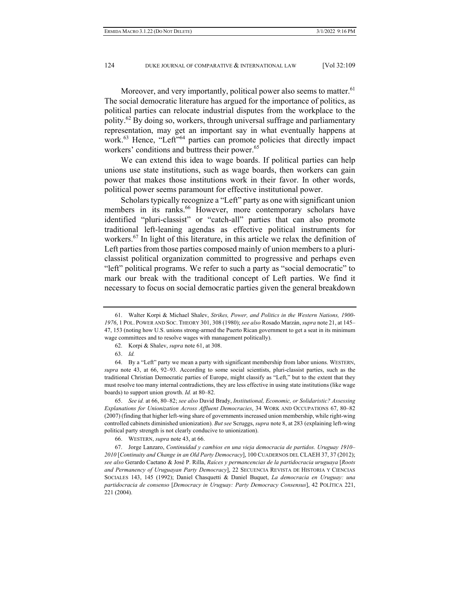Moreover, and very importantly, political power also seems to matter.<sup>61</sup> The social democratic literature has argued for the importance of politics, as political parties can relocate industrial disputes from the workplace to the polity.<sup>62</sup> By doing so, workers, through universal suffrage and parliamentary representation, may get an important say in what eventually happens at work.<sup>63</sup> Hence, "Left"<sup>64</sup> parties can promote policies that directly impact workers' conditions and buttress their power.<sup>65</sup>

We can extend this idea to wage boards. If political parties can help unions use state institutions, such as wage boards, then workers can gain power that makes those institutions work in their favor. In other words, political power seems paramount for effective institutional power.

Scholars typically recognize a "Left" party as one with significant union members in its ranks.<sup>66</sup> However, more contemporary scholars have identified "pluri-classist" or "catch-all" parties that can also promote traditional left-leaning agendas as effective political instruments for workers.<sup>67</sup> In light of this literature, in this article we relax the definition of Left parties from those parties composed mainly of union members to a pluriclassist political organization committed to progressive and perhaps even "left" political programs. We refer to such a party as "social democratic" to mark our break with the traditional concept of Left parties. We find it necessary to focus on social democratic parties given the general breakdown

 65. *See id.* at 66, 80–82; *see also* David Brady, *Institutional, Economic, or Solidaristic? Assessing Explanations for Unionization Across Affluent Democracies*, 34 WORK AND OCCUPATIONS 67, 80–82 (2007) (finding that higher left-wing share of governments increased union membership, while right-wing controlled cabinets diminished unionization). *But see* Scruggs, *supra* note 8, at 283 (explaining left-wing political party strength is not clearly conducive to unionization).

 <sup>61.</sup> Walter Korpi & Michael Shalev, *Strikes, Power, and Politics in the Western Nations, 1900- 1976*, 1 POL. POWER AND SOC. THEORY 301, 308 (1980); *see also* Rosado Marzán, *supra* note 21, at 145– 47, 153 (noting how U.S. unions strong-armed the Puerto Rican government to get a seat in its minimum wage committees and to resolve wages with management politically).

 <sup>62.</sup> Korpi & Shalev, *supra* note 61, at 308.

 <sup>63.</sup> *Id.*

 <sup>64.</sup> By a "Left" party we mean a party with significant membership from labor unions. WESTERN, *supra* note 43, at 66, 92–93. According to some social scientists, pluri-classist parties, such as the traditional Christian Democratic parties of Europe, might classify as "Left," but to the extent that they must resolve too many internal contradictions, they are less effective in using state institutions (like wage boards) to support union growth. *Id.* at 80–82.

 <sup>66.</sup> WESTERN, *supra* note 43, at 66.

 <sup>67.</sup> Jorge Lanzaro, *Continuidad y cambios en una vieja democracia de partidos. Uruguay 1910*– *2010* [*Continuity and Change in an Old Party Democracy*], 100 CUADERNOS DEL CLAEH 37, 37 (2012); *see also* Gerardo Caetano & José P. Rilla, *Raíces y permancencias de la partidocracia uruguaya* [*Roots and Permanency of Uruguayan Party Democracy*], 22 SECUENCIA REVISTA DE HISTORIA Y CIENCIAS SOCIALES 143, 145 (1992); Daniel Chasquetti & Daniel Buquet, *La democracia en Uruguay: una partidocracia de consenso* [*Democracy in Uruguay: Party Democracy Consensus*], 42 POLÍTICA 221, 221 (2004).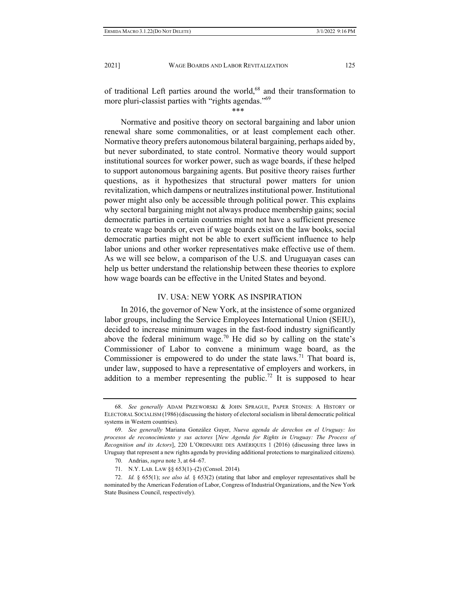of traditional Left parties around the world, $68$  and their transformation to more pluri-classist parties with "rights agendas."<sup>69</sup>

\*\*\*

Normative and positive theory on sectoral bargaining and labor union renewal share some commonalities, or at least complement each other. Normative theory prefers autonomous bilateral bargaining, perhaps aided by, but never subordinated, to state control. Normative theory would support institutional sources for worker power, such as wage boards, if these helped to support autonomous bargaining agents. But positive theory raises further questions, as it hypothesizes that structural power matters for union revitalization, which dampens or neutralizes institutional power. Institutional power might also only be accessible through political power. This explains why sectoral bargaining might not always produce membership gains; social democratic parties in certain countries might not have a sufficient presence to create wage boards or, even if wage boards exist on the law books, social democratic parties might not be able to exert sufficient influence to help labor unions and other worker representatives make effective use of them. As we will see below, a comparison of the U.S. and Uruguayan cases can help us better understand the relationship between these theories to explore how wage boards can be effective in the United States and beyond.

#### IV. USA: NEW YORK AS INSPIRATION

In 2016, the governor of New York, at the insistence of some organized labor groups, including the Service Employees International Union (SEIU), decided to increase minimum wages in the fast-food industry significantly above the federal minimum wage.<sup>70</sup> He did so by calling on the state's Commissioner of Labor to convene a minimum wage board, as the Commissioner is empowered to do under the state laws.<sup>71</sup> That board is, under law, supposed to have a representative of employers and workers, in addition to a member representing the public.<sup>72</sup> It is supposed to hear

 <sup>68.</sup> *See generally* ADAM PRZEWORSKI & JOHN SPRAGUE, PAPER STONES: A HISTORY OF ELECTORAL SOCIALISM (1986)(discussing the history of electoral socialism in liberal democratic political systems in Western countries).

 <sup>69.</sup> *See generally* Mariana González Guyer, *Nueva agenda de derechos en el Uruguay: los procesos de reconocimiento y sus actores* [*New Agenda for Rights in Uruguay: The Process of Recognition and its Actors*], 220 L'ORDINAIRE DES AMÉRIQUES 1 (2016) (discussing three laws in Uruguay that represent a new rights agenda by providing additional protections to marginalized citizens).

 <sup>70.</sup> Andrias, *supra* note 3, at 64–67.

 <sup>71.</sup> N.Y. LAB. LAW §§ 653(1)–(2) (Consol. 2014)*.*

 <sup>72.</sup> *Id.* § 655(1); *see also id.* § 653(2) (stating that labor and employer representatives shall be nominated by the American Federation of Labor, Congress of Industrial Organizations, and the New York State Business Council, respectively).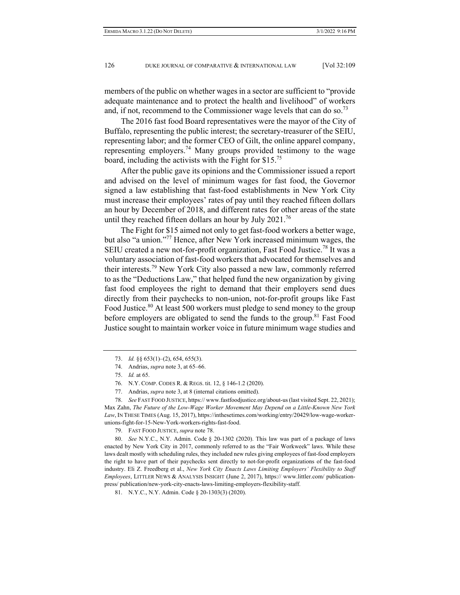members of the public on whether wages in a sector are sufficient to "provide adequate maintenance and to protect the health and livelihood" of workers and, if not, recommend to the Commissioner wage levels that can do so.<sup>73</sup>

The 2016 fast food Board representatives were the mayor of the City of Buffalo, representing the public interest; the secretary-treasurer of the SEIU, representing labor; and the former CEO of Gilt, the online apparel company, representing employers.<sup>74</sup> Many groups provided testimony to the wage board, including the activists with the Fight for \$15.75

After the public gave its opinions and the Commissioner issued a report and advised on the level of minimum wages for fast food, the Governor signed a law establishing that fast-food establishments in New York City must increase their employees' rates of pay until they reached fifteen dollars an hour by December of 2018, and different rates for other areas of the state until they reached fifteen dollars an hour by July  $2021.^{76}$ 

The Fight for \$15 aimed not only to get fast-food workers a better wage, but also "a union."77 Hence, after New York increased minimum wages, the SEIU created a new not-for-profit organization, Fast Food Justice.<sup>78</sup> It was a voluntary association of fast-food workers that advocated for themselves and their interests.<sup>79</sup> New York City also passed a new law, commonly referred to as the "Deductions Law," that helped fund the new organization by giving fast food employees the right to demand that their employers send dues directly from their paychecks to non-union, not-for-profit groups like Fast Food Justice.<sup>80</sup> At least 500 workers must pledge to send money to the group before employers are obligated to send the funds to the group.<sup>81</sup> Fast Food Justice sought to maintain worker voice in future minimum wage studies and

77. Andrias, *supra* note 3, at 8 (internal citations omitted).

 78. *See* FAST FOOD JUSTICE, https:// www.fastfoodjustice.org/about-us (last visited Sept. 22, 2021); Max Zahn, *The Future of the Low-Wage Worker Movement May Depend on a Little-Known New York Law*, IN THESE TIMES (Aug. 15, 2017), https://inthesetimes.com/working/entry/20429/low-wage-workerunions-fight-for-15-New-York-workers-rights-fast-food.

79. FAST FOOD JUSTICE, *supra* note 78.

 80. *See* N.Y.C., N.Y. Admin. Code § 20-1302 (2020). This law was part of a package of laws enacted by New York City in 2017, commonly referred to as the "Fair Workweek" laws. While these laws dealt mostly with scheduling rules, they included new rules giving employees of fast-food employers the right to have part of their paychecks sent directly to not-for-profit organizations of the fast-food industry. Eli Z. Freedberg et al., *New York City Enacts Laws Limiting Employers' Flexibility to Staff Employees*, LITTLER NEWS & ANALYSIS INSIGHT (June 2, 2017), https:// www.littler.com/ publicationpress/ publication/new-york-city-enacts-laws-limiting-employers-flexibility-staff.

81. N.Y.C., N.Y. Admin. Code § 20-1303(3) (2020).

 <sup>73.</sup> *Id.* §§ 653(1)–(2), 654, 655(3).

 <sup>74.</sup> Andrias, *supra* note 3, at 65–66.

 <sup>75.</sup> *Id.* at 65.

 <sup>76.</sup> N.Y. COMP. CODES R. & REGS. tit. 12, § 146-1.2 (2020).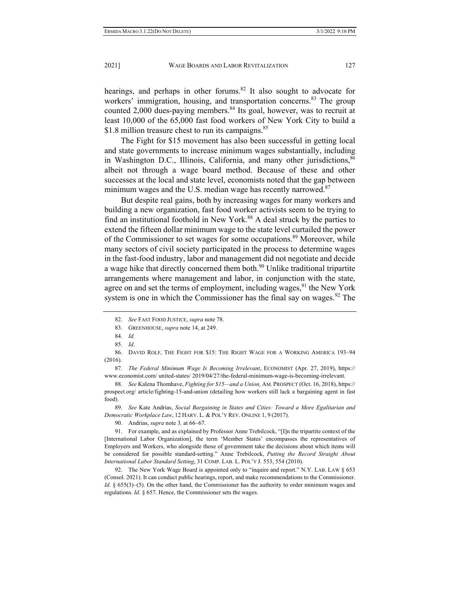hearings, and perhaps in other forums. $82$  It also sought to advocate for workers' immigration, housing, and transportation concerns.<sup>83</sup> The group counted 2,000 dues-paying members.<sup>84</sup> Its goal, however, was to recruit at least 10,000 of the 65,000 fast food workers of New York City to build a \$1.8 million treasure chest to run its campaigns.<sup>85</sup>

The Fight for \$15 movement has also been successful in getting local and state governments to increase minimum wages substantially, including in Washington D.C., Illinois, California, and many other jurisdictions,  $86$ albeit not through a wage board method. Because of these and other successes at the local and state level, economists noted that the gap between minimum wages and the U.S. median wage has recently narrowed. $87$ 

But despite real gains, both by increasing wages for many workers and building a new organization, fast food worker activists seem to be trying to find an institutional foothold in New York.<sup>88</sup> A deal struck by the parties to extend the fifteen dollar minimum wage to the state level curtailed the power of the Commissioner to set wages for some occupations.<sup>89</sup> Moreover, while many sectors of civil society participated in the process to determine wages in the fast-food industry, labor and management did not negotiate and decide a wage hike that directly concerned them both.<sup>90</sup> Unlike traditional tripartite arrangements where management and labor, in conjunction with the state, agree on and set the terms of employment, including wages,  $91$  the New York system is one in which the Commissioner has the final say on wages. <sup>92</sup> The

87*. The Federal Minimum Wage Is Becoming Irrelevant*, ECONOMIST (Apr. 27, 2019), https:// www.economist.com/ united-states/ 2019/04/27/the-federal-minimum-wage-is-becoming-irrelevant.

 89. *See* Kate Andrias, *Social Bargaining in States and Cities: Toward a More Egalitarian and Democratic Workplace Law*, 12 HARV. L. & POL'Y REV. ONLINE 1, 9 (2017).

90. Andrias, *supra* note 3*,* at 66–67.

 91. For example, and as explained by Professor Anne Trebilcock, "[I]n the tripartite context of the [International Labor Organization], the term 'Member States' encompasses the representatives of Employers and Workers, who alongside those of government take the decisions about which items will be considered for possible standard-setting." Anne Trebilcock, *Putting the Record Straight About International Labor Standard Setting*, 31 COMP. LAB. L. POL'Y J. 553, 554 (2010).

 92. The New York Wage Board is appointed only to "inquire and report." N.Y. LAB. LAW § 653 (Consol. 2021). It can conduct public hearings, report, and make recommendations to the Commissioner. *Id.* § 655(3)–(5). On the other hand, the Commissioner has the authority to order minimum wages and regulations. *Id.* § 657. Hence, the Commissioner sets the wages.

 <sup>82.</sup> *See* FAST FOOD JUSTICE, *supra* note 78.

 <sup>83.</sup> GREENHOUSE, *supra* note 14, at 249.

 <sup>84.</sup> *Id.*

 <sup>85.</sup> *Id*.

 <sup>86.</sup> DAVID ROLF, THE FIGHT FOR \$15: THE RIGHT WAGE FOR A WORKING AMERICA 193–94 (2016).

 <sup>88.</sup> *See* Kalena Thomhave, *Fighting for \$15—and a Union,* AM. PROSPECT (Oct. 16, 2018), https:// prospect.org/ article/fighting-15-and-union (detailing how workers still lack a bargaining agent in fast food).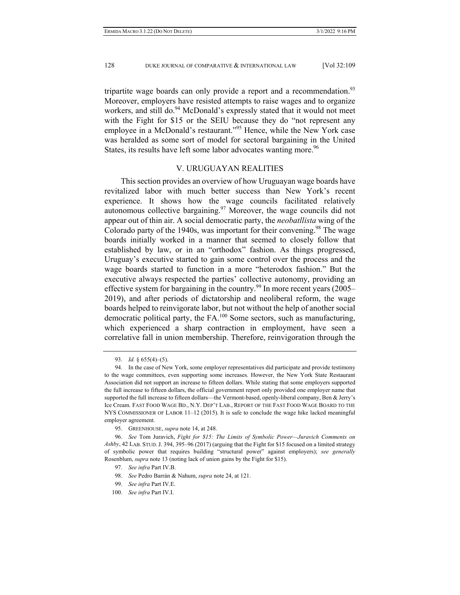tripartite wage boards can only provide a report and a recommendation.<sup>93</sup> Moreover, employers have resisted attempts to raise wages and to organize workers, and still do.<sup>94</sup> McDonald's expressly stated that it would not meet with the Fight for \$15 or the SEIU because they do "not represent any employee in a McDonald's restaurant."<sup>95</sup> Hence, while the New York case was heralded as some sort of model for sectoral bargaining in the United States, its results have left some labor advocates wanting more.<sup>96</sup>

### V. URUGUAYAN REALITIES

This section provides an overview of how Uruguayan wage boards have revitalized labor with much better success than New York's recent experience. It shows how the wage councils facilitated relatively autonomous collective bargaining.<sup>97</sup> Moreover, the wage councils did not appear out of thin air. A social democratic party, the *neobatllista* wing of the Colorado party of the 1940s, was important for their convening.<sup>98</sup> The wage boards initially worked in a manner that seemed to closely follow that established by law, or in an "orthodox" fashion. As things progressed, Uruguay's executive started to gain some control over the process and the wage boards started to function in a more "heterodox fashion." But the executive always respected the parties' collective autonomy, providing an effective system for bargaining in the country.<sup>99</sup> In more recent years (2005– 2019), and after periods of dictatorship and neoliberal reform, the wage boards helped to reinvigorate labor, but not without the help of another social democratic political party, the FA.100 Some sectors, such as manufacturing, which experienced a sharp contraction in employment, have seen a correlative fall in union membership. Therefore, reinvigoration through the

 <sup>93.</sup> *Id.* § 655(4)–(5).

 <sup>94.</sup> In the case of New York, some employer representatives did participate and provide testimony to the wage committees, even supporting some increases. However, the New York State Restaurant Association did not support an increase to fifteen dollars. While stating that some employers supported the full increase to fifteen dollars, the official government report only provided one employer name that supported the full increase to fifteen dollars—the Vermont-based, openly-liberal company, Ben & Jerry's Ice Cream. FAST FOOD WAGE BD., N.Y. DEP'T LAB., REPORT OF THE FAST FOOD WAGE BOARD TO THE NYS COMMISSIONER OF LABOR 11–12 (2015). It is safe to conclude the wage hike lacked meaningful employer agreement.

 <sup>95.</sup> GREENHOUSE, *supra* note 14, at 248.

 <sup>96.</sup> *See* Tom Juravich, *Fight for \$15: The Limits of Symbolic Power—Juravich Comments on Ashby*, 42 LAB. STUD.J. 394, 395–96 (2017) (arguing that the Fight for \$15 focused on a limited strategy of symbolic power that requires building "structural power" against employers); *see generally*  Rosenblum, *supra* note 13 (noting lack of union gains by the Fight for \$15).

 <sup>97.</sup> *See infra* Part IV.B.

 <sup>98.</sup> *See* Pedro Barrán & Nahum, *supra* note 24, at 121.

 <sup>99.</sup> *See infra* Part IV.E.

 <sup>100.</sup> *See infra* Part IV.I.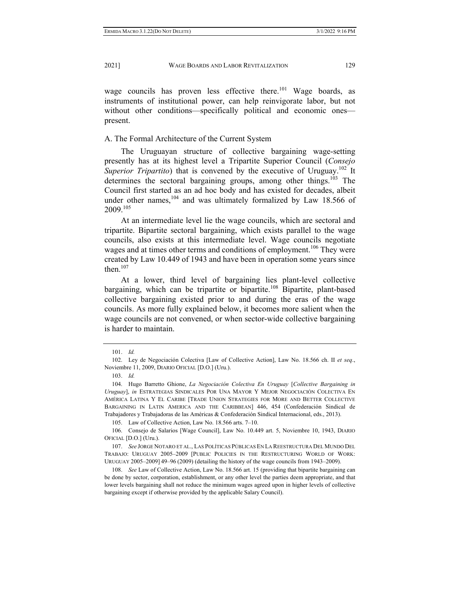wage councils has proven less effective there.<sup>101</sup> Wage boards, as instruments of institutional power, can help reinvigorate labor, but not without other conditions—specifically political and economic ones present.

## A. The Formal Architecture of the Current System

The Uruguayan structure of collective bargaining wage-setting presently has at its highest level a Tripartite Superior Council (*Consejo Superior Tripartito*) that is convened by the executive of Uruguay.<sup>102</sup> It determines the sectoral bargaining groups, among other things.<sup>103</sup> The Council first started as an ad hoc body and has existed for decades, albeit under other names,  $104$  and was ultimately formalized by Law 18.566 of 2009.105

At an intermediate level lie the wage councils, which are sectoral and tripartite. Bipartite sectoral bargaining, which exists parallel to the wage councils, also exists at this intermediate level. Wage councils negotiate wages and at times other terms and conditions of employment.<sup>106</sup> They were created by Law 10.449 of 1943 and have been in operation some years since then. $107$ 

At a lower, third level of bargaining lies plant-level collective bargaining, which can be tripartite or bipartite.<sup>108</sup> Bipartite, plant-based collective bargaining existed prior to and during the eras of the wage councils. As more fully explained below, it becomes more salient when the wage councils are not convened, or when sector-wide collective bargaining is harder to maintain.

 <sup>101.</sup> *Id.* 

 <sup>102.</sup> Ley de Negociación Colectiva [Law of Collective Action], Law No. 18.566 ch. II *et seq*., Noviembre 11, 2009, DIARIO OFICIAL [D.O.] (Uru.).

 <sup>103.</sup> *Id.* 

 <sup>104.</sup> Hugo Barretto Ghione, *La Negociación Colectiva En Uruguay* [*Collective Bargaining in Uruguay*], *in* ESTRATEGIAS SINDICALES POR UNA MAYOR Y MEJOR NEGOCIACIÓN COLECTIVA EN AMÉRICA LATINA Y EL CARIBE [TRADE UNION STRATEGIES FOR MORE AND BETTER COLLECTIVE BARGAINING IN LATIN AMERICA AND THE CARIBBEAN] 446, 454 (Confederación Sindical de Trabajadores y Trabajadoras de las Américas & Confederación Sindical Internacional, eds., 2013).

 <sup>105.</sup> Law of Collective Action, Law No. 18.566 arts. 7–10.

 <sup>106.</sup> Consejo de Salarios [Wage Council], Law No. 10.449 art. 5, Noviembre 10, 1943, DIARIO OFICIAL [D.O.] (Uru.).

 <sup>107.</sup> *See* JORGE NOTARO ET AL., LAS POLÍTICAS PÚBLICAS EN LA REESTRUCTURA DEL MUNDO DEL TRABAJO: URUGUAY 2005–2009 [PUBLIC POLICIES IN THE RESTRUCTURING WORLD OF WORK: URUGUAY 2005–2009] 49–96 (2009) (detailing the history of the wage councils from 1943–2009).

 <sup>108.</sup> *See* Law of Collective Action, Law No. 18.566 art. 15 (providing that bipartite bargaining can be done by sector, corporation, establishment, or any other level the parties deem appropriate, and that lower levels bargaining shall not reduce the minimum wages agreed upon in higher levels of collective bargaining except if otherwise provided by the applicable Salary Council).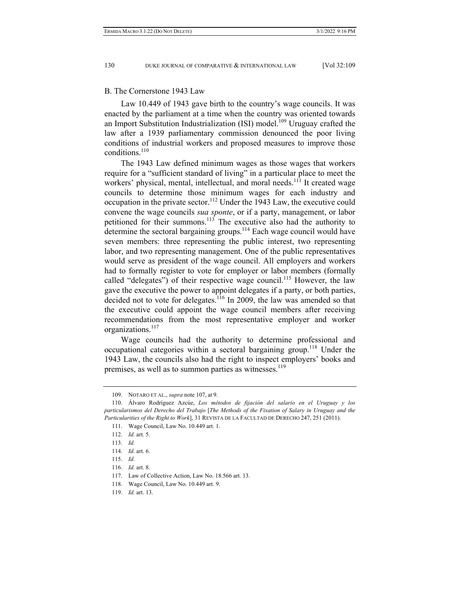#### B. The Cornerstone 1943 Law

Law 10.449 of 1943 gave birth to the country's wage councils. It was enacted by the parliament at a time when the country was oriented towards an Import Substitution Industrialization (ISI) model.<sup>109</sup> Uruguay crafted the law after a 1939 parliamentary commission denounced the poor living conditions of industrial workers and proposed measures to improve those conditions.<sup>110</sup>

The 1943 Law defined minimum wages as those wages that workers require for a "sufficient standard of living" in a particular place to meet the workers' physical, mental, intellectual, and moral needs.<sup>111</sup> It created wage councils to determine those minimum wages for each industry and occupation in the private sector.<sup>112</sup> Under the 1943 Law, the executive could convene the wage councils *sua sponte*, or if a party, management, or labor petitioned for their summons.<sup>113</sup> The executive also had the authority to determine the sectoral bargaining groups.<sup>114</sup> Each wage council would have seven members: three representing the public interest, two representing labor, and two representing management. One of the public representatives would serve as president of the wage council. All employers and workers had to formally register to vote for employer or labor members (formally called "delegates") of their respective wage council.<sup>115</sup> However, the law gave the executive the power to appoint delegates if a party, or both parties, decided not to vote for delegates. $116$  In 2009, the law was amended so that the executive could appoint the wage council members after receiving recommendations from the most representative employer and worker organizations.<sup>117</sup>

Wage councils had the authority to determine professional and occupational categories within a sectoral bargaining group.<sup>118</sup> Under the 1943 Law, the councils also had the right to inspect employers' books and premises, as well as to summon parties as witnesses.<sup>119</sup>

 <sup>109.</sup> NOTARO ET AL., *supra* note 107, at 9.

 <sup>110.</sup> Álvaro Rodríguez Azcúe, *Los métodos de fijación del salario en el Uruguay y los particularismos del Derecho del Trabajo* [*The Methods of the Fixation of Salary in Uruguay and the Particularities of the Right to Work*], 31 REVISTA DE LA FACULTAD DE DERECHO 247, 251 (2011).

 <sup>111.</sup> Wage Council, Law No. 10.449 art. 1.

 <sup>112.</sup> *Id.* art. 5.

 <sup>113.</sup> *Id.* 

 <sup>114.</sup> *Id.* art. 6.

 <sup>115.</sup> *Id.*

 <sup>116.</sup> *Id.* art. 8.

 <sup>117.</sup> Law of Collective Action, Law No. 18.566 art. 13.

 <sup>118.</sup> Wage Council, Law No. 10.449 art. 9.

 <sup>119.</sup> *Id.* art. 13.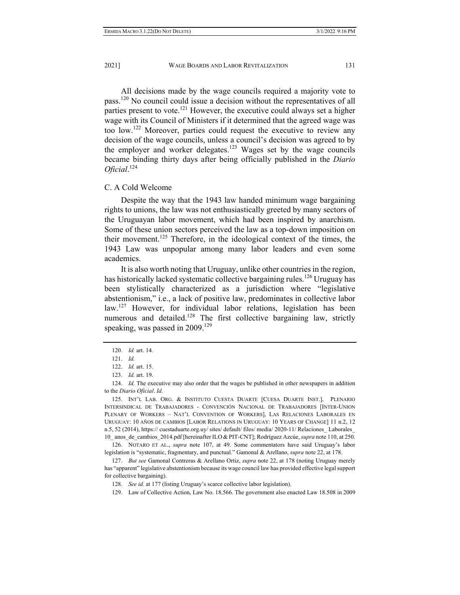All decisions made by the wage councils required a majority vote to pass.120 No council could issue a decision without the representatives of all parties present to vote.<sup>121</sup> However, the executive could always set a higher wage with its Council of Ministers if it determined that the agreed wage was too low.122 Moreover, parties could request the executive to review any decision of the wage councils, unless a council's decision was agreed to by the employer and worker delegates.<sup>123</sup> Wages set by the wage councils became binding thirty days after being officially published in the *Diario Oficial*. 124

### C. A Cold Welcome

Despite the way that the 1943 law handed minimum wage bargaining rights to unions, the law was not enthusiastically greeted by many sectors of the Uruguayan labor movement, which had been inspired by anarchism. Some of these union sectors perceived the law as a top-down imposition on their movement.<sup>125</sup> Therefore, in the ideological context of the times, the 1943 Law was unpopular among many labor leaders and even some academics.

It is also worth noting that Uruguay, unlike other countries in the region, has historically lacked systematic collective bargaining rules.<sup>126</sup> Uruguay has been stylistically characterized as a jurisdiction where "legislative abstentionism," i.e., a lack of positive law, predominates in collective labor law.<sup>127</sup> However, for individual labor relations, legislation has been numerous and detailed.<sup>128</sup> The first collective bargaining law, strictly speaking, was passed in  $2009$ .<sup>129</sup>

 126. NOTARO ET AL., *supra* note 107, at 49. Some commentators have said Uruguay's labor legislation is "systematic, fragmentary, and punctual." Gamonal & Arellano, *supra* note 22, at 178.

 127. *But see* Gamonal Contreras & Arellano Ortiz, *supra* note 22, at 178 (noting Uruguay merely has "apparent" legislative abstentionism because its wage council law has provided effective legal support for collective bargaining).

128. *See id.* at 177 (listing Uruguay's scarce collective labor legislation).

129. Law of Collective Action, Law No. 18.566. The government also enacted Law 18.508 in 2009

 <sup>120.</sup> *Id.* art. 14.

 <sup>121.</sup> *Id.*

 <sup>122.</sup> *Id.* art. 15.

 <sup>123.</sup> *Id.* art. 19.

 <sup>124.</sup> *Id.* The executive may also order that the wages be published in other newspapers in addition to the *Diario Oficial*. *Id.* 

 <sup>125.</sup> INT'L LAB. ORG. & INSTITUTO CUESTA DUARTE [CUESA DUARTE INST.], PLENARIO INTERSINDICAL DE TRABAJADORES - CONVENCIÓN NACIONAL DE TRABAJADORES [INTER-UNION PLENARY OF WORKERS – NAT'L CONVENTION OF WORKERS], LAS RELACIONES LABORALES EN URUGUAY: 10 AÑOS DE CAMBIOS [LABOR RELATIONS IN URUGUAY: 10 YEARS OF CHANGE] 11 n.2, 12 n.5, 52 (2014), https:// cuestaduarte.org.uy/ sites/ default/ files/ media/ 2020-11/ Relaciones\_ Laborales\_ 10\_ anos\_de\_cambios\_2014.pdf [hereinafter ILO & PIT-CNT]; Rodríguez Azcúe, *supra* note 110, at 250.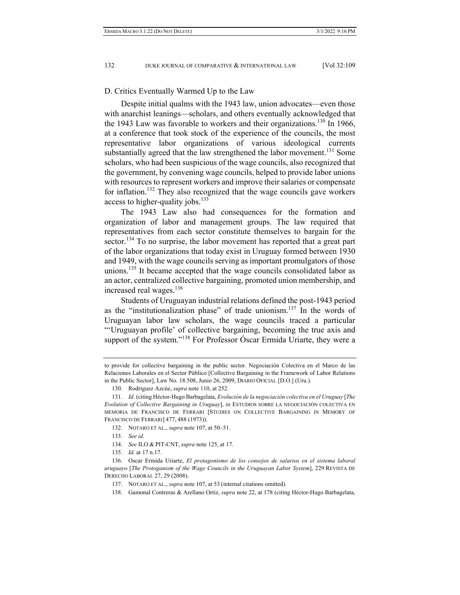D. Critics Eventually Warmed Up to the Law

Despite initial qualms with the 1943 law, union advocates—even those with anarchist leanings—scholars, and others eventually acknowledged that the 1943 Law was favorable to workers and their organizations.<sup>130</sup> In 1966, at a conference that took stock of the experience of the councils, the most representative labor organizations of various ideological currents substantially agreed that the law strengthened the labor movement.<sup>131</sup> Some scholars, who had been suspicious of the wage councils, also recognized that the government, by convening wage councils, helped to provide labor unions with resources to represent workers and improve their salaries or compensate for inflation.<sup>132</sup> They also recognized that the wage councils gave workers access to higher-quality jobs. $133$ 

The 1943 Law also had consequences for the formation and organization of labor and management groups. The law required that representatives from each sector constitute themselves to bargain for the sector.<sup>134</sup> To no surprise, the labor movement has reported that a great part of the labor organizations that today exist in Uruguay formed between 1930 and 1949, with the wage councils serving as important promulgators of those unions.<sup>135</sup> It became accepted that the wage councils consolidated labor as an actor, centralized collective bargaining, promoted union membership, and increased real wages.<sup>136</sup>

Students of Uruguayan industrial relations defined the post-1943 period as the "institutionalization phase" of trade unionism. $137$  In the words of Uruguayan labor law scholars, the wage councils traced a particular "'Uruguayan profile' of collective bargaining, becoming the true axis and support of the system."<sup>138</sup> For Professor Óscar Ermida Uriarte, they were a

- 133. *See id.*
- 134. *See* ILO & PIT-CNT, *supra* note 125, at 17.
- 135. *Id.* at 17 n.17.

to provide for collective bargaining in the public sector. Negociación Colectiva en el Marco de las Relaciones Laborales en el Sector Público [Collective Bargaining in the Framework of Labor Relations in the Public Sector], Law No. 18.508, Junio 26, 2009, DIARIO OFICIAL [D.O.] (Uru.).

 <sup>130.</sup> Rodríguez Azcúe, *supra* note 110, at 252.

 <sup>131.</sup> *Id.* (citing Héctor-Hugo Barbagelata, *Evolución de la negociación colectiva en el Uruguay* [*The Evolution of Collective Bargaining in Uruguay*], *in* ESTUDIOS SOBRE LA NEGOCIACIÓN COLECTIVA EN MEMORIA DE FRANCISCO DE FERRARI [STUDIES ON COLLECTIVE BARGAINING IN MEMORY OF FRANCISCO DE FERRARI] 477, 488 (1973)).

 <sup>132.</sup> NOTARO ET AL., *supra* note 107, at 50–51.

 <sup>136.</sup> Oscar Ermida Uriarte, *El protagonismo de los consejos de salarios en el sistema laboral uruguayo* [*The Protoganism of the Wage Councils in the Uruguayan Labor System*], 229 REVISTA DE DERECHO LABORAL 27, 29 (2008).

 <sup>137.</sup> NOTARO ET AL., *supra* note 107, at 53 (internal citations omitted).

 <sup>138.</sup> Gamonal Contreras & Arellano Ortiz, *supra* note 22, at 178 (citing Héctor-Hugo Barbagelata,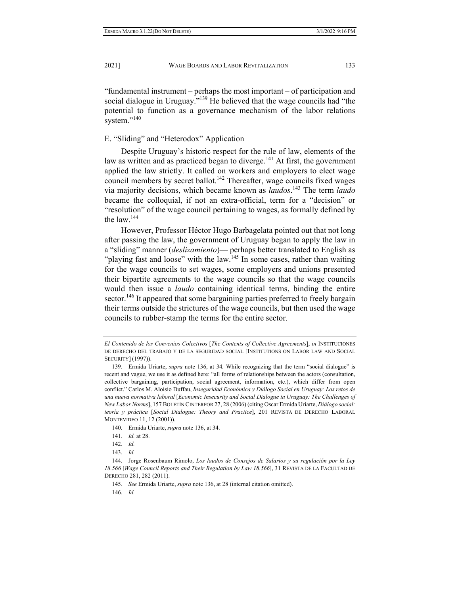"fundamental instrument – perhaps the most important – of participation and social dialogue in Uruguay."<sup>139</sup> He believed that the wage councils had "the potential to function as a governance mechanism of the labor relations system."<sup>140</sup>

## E. "Sliding" and "Heterodox" Application

Despite Uruguay's historic respect for the rule of law, elements of the law as written and as practiced began to diverge.<sup>141</sup> At first, the government applied the law strictly. It called on workers and employers to elect wage council members by secret ballot.<sup>142</sup> Thereafter, wage councils fixed wages via majority decisions, which became known as *laudos*. 143 The term *laudo* became the colloquial, if not an extra-official, term for a "decision" or "resolution" of the wage council pertaining to wages, as formally defined by the law. $144$ 

However, Professor Héctor Hugo Barbagelata pointed out that not long after passing the law, the government of Uruguay began to apply the law in a "sliding" manner (*deslizamiento*)— perhaps better translated to English as "playing fast and loose" with the law.<sup>145</sup> In some cases, rather than waiting for the wage councils to set wages, some employers and unions presented their bipartite agreements to the wage councils so that the wage councils would then issue a *laudo* containing identical terms, binding the entire sector.<sup>146</sup> It appeared that some bargaining parties preferred to freely bargain their terms outside the strictures of the wage councils, but then used the wage councils to rubber-stamp the terms for the entire sector.

*El Contenido de los Convenios Colectivos* [*The Contents of Collective Agreements*], *in* INSTITUCIONES DE DERECHO DEL TRABAJO Y DE LA SEGURIDAD SOCIAL [INSTITUTIONS ON LABOR LAW AND SOCIAL SECURITY] (1997)).

 <sup>139.</sup> Ermida Uriarte, *supra* note 136, at 34*.* While recognizing that the term "social dialogue" is recent and vague, we use it as defined here: "all forms of relationships between the actors (consultation, collective bargaining, participation, social agreement, information, etc.), which differ from open conflict." Carlos M. Aloisio Duffau, *Inseguridad Económica y Diálogo Social en Uruguay: Los retos de una nueva normativa laboral* [*Economic Insecurity and Social Dialogue in Uruguay: The Challenges of New Labor Norms*], 157 BOLETÍN CINTERFOR 27, 28 (2006) (citing Oscar Ermida Uriarte, *Diálogo social: teoría y práctica* [*Social Dialogue: Theory and Practice*], 201 REVISTA DE DERECHO LABORAL MONTEVIDEO 11, 12 (2001)).

 <sup>140.</sup> Ermida Uriarte, *supra* note 136, at 34.

 <sup>141.</sup> *Id.* at 28.

 <sup>142.</sup> *Id.*

 <sup>143.</sup> *Id.*

 <sup>144.</sup> Jorge Rosenbaum Rimolo, *Los laudos de Consejos de Salarios y su regulación por la Ley 18.566* [*Wage Council Reports and Their Regulation by Law 18.566*], 31 REVISTA DE LA FACULTAD DE DERECHO 281, 282 (2011).

 <sup>145.</sup> *See* Ermida Uriarte, *supra* note 136, at 28 (internal citation omitted).

 <sup>146.</sup> *Id.*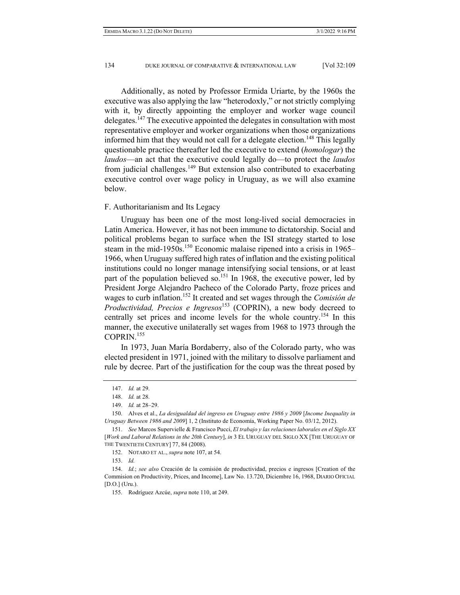Additionally, as noted by Professor Ermida Uriarte, by the 1960s the executive was also applying the law "heterodoxly," or not strictly complying with it, by directly appointing the employer and worker wage council delegates.<sup>147</sup> The executive appointed the delegates in consultation with most representative employer and worker organizations when those organizations informed him that they would not call for a delegate election.<sup>148</sup> This legally questionable practice thereafter led the executive to extend (*homologar*) the *laudos*—an act that the executive could legally do—to protect the *laudos* from judicial challenges.<sup>149</sup> But extension also contributed to exacerbating executive control over wage policy in Uruguay, as we will also examine below.

#### F. Authoritarianism and Its Legacy

Uruguay has been one of the most long-lived social democracies in Latin America. However, it has not been immune to dictatorship. Social and political problems began to surface when the ISI strategy started to lose steam in the mid-1950s.<sup>150</sup> Economic malaise ripened into a crisis in 1965– 1966, when Uruguay suffered high rates of inflation and the existing political institutions could no longer manage intensifying social tensions, or at least part of the population believed so.<sup>151</sup> In 1968, the executive power, led by President Jorge Alejandro Pacheco of the Colorado Party, froze prices and wages to curb inflation.152 It created and set wages through the *Comisión de Productividad, Precios e Ingresos*<sup>153</sup> (COPRIN), a new body decreed to centrally set prices and income levels for the whole country.154 In this manner, the executive unilaterally set wages from 1968 to 1973 through the COPRIN.<sup>155</sup>

In 1973, Juan María Bordaberry, also of the Colorado party, who was elected president in 1971, joined with the military to dissolve parliament and rule by decree. Part of the justification for the coup was the threat posed by

153. *Id.*

 <sup>147.</sup> *Id.* at 29.

 <sup>148.</sup> *Id.* at 28.

 <sup>149.</sup> *Id.* at 28–29.

 <sup>150.</sup> Alves et al., *La desigualdad del ingreso en Uruguay entre 1986 y 2009* [*Income Inequality in Uruguay Between 1986 and 2009*] 1, 2 (Instituto de Economía, Working Paper No. 03/12, 2012).

 <sup>151.</sup> *See* Marcos Supervielle & Francisco Pucci, *El trabajo y las relaciones laborales en el Siglo XX*  [*Work and Laboral Relations in the 20th Century*], *in* 3 EL URUGUAY DEL SIGLO XX [THE URUGUAY OF THE TWENTIETH CENTURY] 77, 84 (2008).

 <sup>152.</sup> NOTARO ET AL., *supra* note 107, at 54.

 <sup>154.</sup> *Id.*; *see also* Creación de la comisión de productividad, precios e ingresos [Creation of the Commision on Productivity, Prices, and Income], Law No. 13.720, Diciembre 16, 1968, DIARIO OFICIAL [D.O.] (Uru.).

 <sup>155.</sup> Rodríguez Azcúe, *supra* note 110, at 249.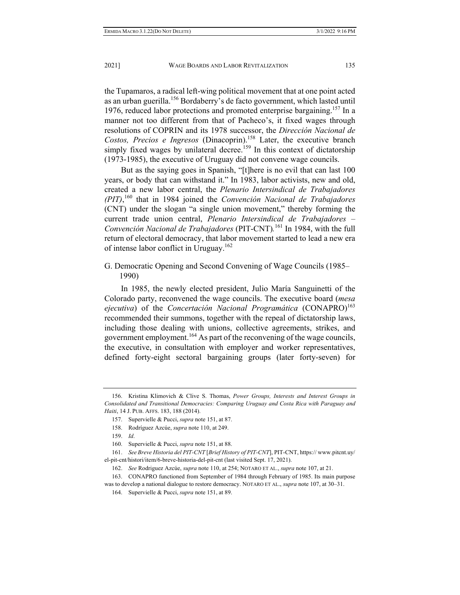the Tupamaros, a radical left-wing political movement that at one point acted as an urban guerilla.156 Bordaberry's de facto government, which lasted until 1976, reduced labor protections and promoted enterprise bargaining.<sup>157</sup> In a manner not too different from that of Pacheco's, it fixed wages through resolutions of COPRIN and its 1978 successor, the *Dirección Nacional de Costos, Precios e Ingresos* (Dinacoprin).158 Later, the executive branch simply fixed wages by unilateral decree.<sup>159</sup> In this context of dictatorship (1973-1985), the executive of Uruguay did not convene wage councils.

But as the saying goes in Spanish, "[t]here is no evil that can last 100 years, or body that can withstand it." In 1983, labor activists, new and old, created a new labor central, the *Plenario Intersindical de Trabajadores (PIT)*, <sup>160</sup> that in 1984 joined the *Convención Nacional de Trabajadores*  (CNT) under the slogan "a single union movement," thereby forming the current trade union central, *Plenario Intersindical de Trabajadores – Convención Nacional de Trabajadores* (PIT-CNT)*.* 161 In 1984, with the full return of electoral democracy, that labor movement started to lead a new era of intense labor conflict in Uruguay.<sup>162</sup>

G. Democratic Opening and Second Convening of Wage Councils (1985– 1990)

In 1985, the newly elected president, Julio María Sanguinetti of the Colorado party, reconvened the wage councils. The executive board (*mesa ejecutiva*) of the *Concertación Nacional Programática* (CONAPRO)<sup>163</sup> recommended their summons, together with the repeal of dictatorship laws, including those dealing with unions, collective agreements, strikes, and government employment.<sup>164</sup> As part of the reconvening of the wage councils, the executive, in consultation with employer and worker representatives, defined forty-eight sectoral bargaining groups (later forty-seven) for

 <sup>156.</sup> Kristina Klimovich & Clive S. Thomas, *Power Groups, Interests and Interest Groups in Consolidated and Transitional Democracies: Comparing Uruguay and Costa Rica with Paraguay and Haiti*, 14 J. PUB. AFFS. 183, 188 (2014).

 <sup>157.</sup> Supervielle & Pucci, *supra* note 151, at 87.

 <sup>158.</sup> Rodríguez Azcúe, *supra* note 110, at 249.

 <sup>159.</sup> *Id*.

 <sup>160.</sup> Supervielle & Pucci, *supra* note 151, at 88.

 <sup>161.</sup> *See Breve Historia del PIT-CNT* [*Brief History of PIT-CNT*], PIT-CNT, https:// www.pitcnt.uy/ el-pit-cnt/histori/item/6-breve-historia-del-pit-cnt (last visited Sept. 17, 2021).

 <sup>162.</sup> *See* Rodriguez Azcúe, *supra* note 110, at 254; NOTARO ET AL., *supra* note 107, at 21.

 <sup>163.</sup> CONAPRO functioned from September of 1984 through February of 1985. Its main purpose was to develop a national dialogue to restore democracy. NOTARO ET AL., *supra* note 107, at 30–31.

 <sup>164.</sup> Supervielle & Pucci, *supra* note 151, at 89.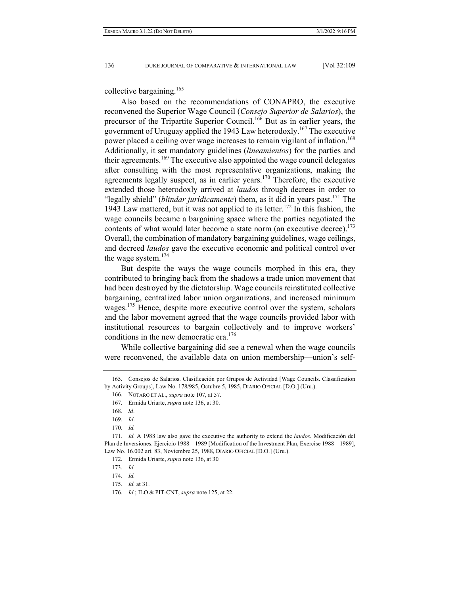collective bargaining.<sup>165</sup>

Also based on the recommendations of CONAPRO, the executive reconvened the Superior Wage Council (*Consejo Superior de Salarios*), the precursor of the Tripartite Superior Council.<sup>166</sup> But as in earlier years, the government of Uruguay applied the 1943 Law heterodoxly.<sup>167</sup> The executive power placed a ceiling over wage increases to remain vigilant of inflation.<sup>168</sup> Additionally, it set mandatory guidelines (*lineamientos*) for the parties and their agreements.<sup>169</sup> The executive also appointed the wage council delegates after consulting with the most representative organizations, making the agreements legally suspect, as in earlier years.<sup>170</sup> Therefore, the executive extended those heterodoxly arrived at *laudos* through decrees in order to "legally shield" (*blindar jurídicamente*) them, as it did in years past.<sup>171</sup> The 1943 Law mattered, but it was not applied to its letter.<sup>172</sup> In this fashion, the wage councils became a bargaining space where the parties negotiated the contents of what would later become a state norm (an executive decree).  $173$ Overall, the combination of mandatory bargaining guidelines, wage ceilings, and decreed *laudos* gave the executive economic and political control over the wage system. $174$ 

But despite the ways the wage councils morphed in this era, they contributed to bringing back from the shadows a trade union movement that had been destroyed by the dictatorship. Wage councils reinstituted collective bargaining, centralized labor union organizations, and increased minimum wages.<sup>175</sup> Hence, despite more executive control over the system, scholars and the labor movement agreed that the wage councils provided labor with institutional resources to bargain collectively and to improve workers' conditions in the new democratic era.<sup>176</sup>

While collective bargaining did see a renewal when the wage councils were reconvened, the available data on union membership—union's self-

 <sup>165.</sup> Consejos de Salarios. Clasificación por Grupos de Actividad [Wage Councils. Classification by Activity Groups], Law No. 178/985, Octubre 5, 1985, DIARIO OFICIAL [D.O.] (Uru.).

 <sup>166.</sup> NOTARO ET AL., *supra* note 107, at 57.

 <sup>167.</sup> Ermida Uriarte, *supra* note 136, at 30.

 <sup>168.</sup> *Id*.

 <sup>169.</sup> *Id*.

 <sup>170.</sup> *Id.*

 <sup>171.</sup> *Id.* A 1988 law also gave the executive the authority to extend the *laudos.* Modificación del Plan de Inversiones. Ejercicio 1988 – 1989 [Modification of the Investment Plan, Exercise 1988 – 1989], Law No. 16.002 art. 83, Noviembre 25, 1988, DIARIO OFICIAL [D.O.] (Uru.).

 <sup>172.</sup> Ermida Uriarte, *supra* note 136, at 30*.*

 <sup>173.</sup> *Id.*

 <sup>174.</sup> *Id.*

 <sup>175.</sup> *Id.* at 31.

 <sup>176.</sup> *Id.*; ILO & PIT-CNT, *supra* note 125, at 22.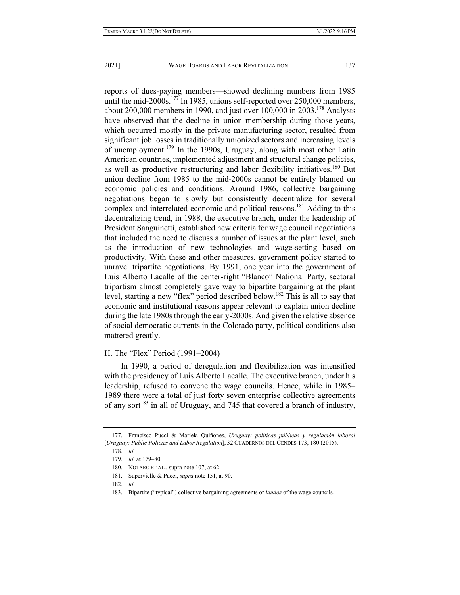reports of dues-paying members—showed declining numbers from 1985 until the mid-2000s.<sup>177</sup> In 1985, unions self-reported over 250,000 members, about  $200,000$  members in 1990, and just over  $100,000$  in  $2003$ .<sup>178</sup> Analysts have observed that the decline in union membership during those years, which occurred mostly in the private manufacturing sector, resulted from significant job losses in traditionally unionized sectors and increasing levels of unemployment.179 In the 1990s, Uruguay, along with most other Latin American countries, implemented adjustment and structural change policies, as well as productive restructuring and labor flexibility initiatives.<sup>180</sup> But union decline from 1985 to the mid-2000s cannot be entirely blamed on economic policies and conditions. Around 1986, collective bargaining negotiations began to slowly but consistently decentralize for several complex and interrelated economic and political reasons.<sup>181</sup> Adding to this decentralizing trend, in 1988, the executive branch, under the leadership of President Sanguinetti, established new criteria for wage council negotiations that included the need to discuss a number of issues at the plant level, such as the introduction of new technologies and wage-setting based on productivity. With these and other measures, government policy started to unravel tripartite negotiations. By 1991, one year into the government of Luis Alberto Lacalle of the center-right "Blanco" National Party, sectoral tripartism almost completely gave way to bipartite bargaining at the plant level, starting a new "flex" period described below.<sup>182</sup> This is all to say that economic and institutional reasons appear relevant to explain union decline during the late 1980s through the early-2000s. And given the relative absence of social democratic currents in the Colorado party, political conditions also mattered greatly.

## H. The "Flex" Period (1991–2004)

In 1990, a period of deregulation and flexibilization was intensified with the presidency of Luis Alberto Lacalle. The executive branch, under his leadership, refused to convene the wage councils. Hence, while in 1985– 1989 there were a total of just forty seven enterprise collective agreements of any sort<sup>183</sup> in all of Uruguay, and 745 that covered a branch of industry,

 <sup>177.</sup> Francisco Pucci & Mariela Quiñones, *Uruguay: políticas públicas y regulación laboral*  [*Uruguay: Public Policies and Labor Regulation*], 32 CUADERNOS DEL CENDES 173, 180 (2015).

 <sup>178.</sup> *Id.*

 <sup>179.</sup> *Id.* at 179–80.

 <sup>180.</sup> NOTARO ET AL., supra note 107, at 62

 <sup>181.</sup> Supervielle & Pucci, *supra* note 151, at 90.

 <sup>182.</sup> *Id.* 

 <sup>183.</sup> Bipartite ("typical") collective bargaining agreements or *laudos* of the wage councils.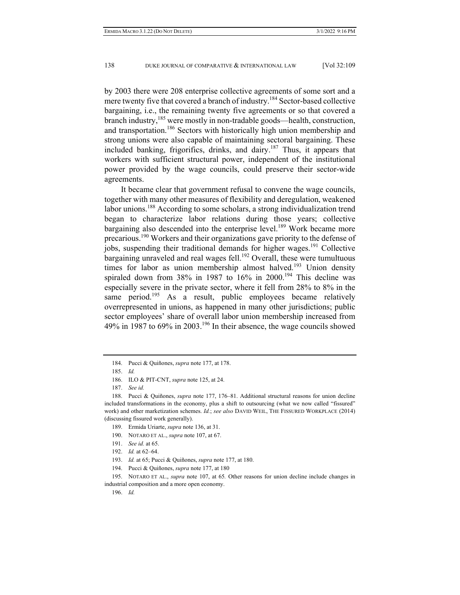by 2003 there were 208 enterprise collective agreements of some sort and a mere twenty five that covered a branch of industry.<sup>184</sup> Sector-based collective bargaining, i.e., the remaining twenty five agreements or so that covered a branch industry,<sup>185</sup> were mostly in non-tradable goods—health, construction, and transportation.<sup>186</sup> Sectors with historically high union membership and strong unions were also capable of maintaining sectoral bargaining. These included banking, frigorifics, drinks, and dairy.<sup>187</sup> Thus, it appears that workers with sufficient structural power, independent of the institutional power provided by the wage councils, could preserve their sector-wide agreements.

It became clear that government refusal to convene the wage councils, together with many other measures of flexibility and deregulation, weakened labor unions.<sup>188</sup> According to some scholars, a strong individualization trend began to characterize labor relations during those years; collective bargaining also descended into the enterprise level.<sup>189</sup> Work became more precarious.190 Workers and their organizations gave priority to the defense of jobs, suspending their traditional demands for higher wages.<sup>191</sup> Collective bargaining unraveled and real wages fell.<sup>192</sup> Overall, these were tumultuous times for labor as union membership almost halved.<sup>193</sup> Union density spiraled down from 38% in 1987 to  $16\%$  in 2000.<sup>194</sup> This decline was especially severe in the private sector, where it fell from 28% to 8% in the same period.<sup>195</sup> As a result, public employees became relatively overrepresented in unions, as happened in many other jurisdictions; public sector employees' share of overall labor union membership increased from 49% in 1987 to 69% in 2003.<sup>196</sup> In their absence, the wage councils showed

190. NOTARO ET AL., *supra* note 107, at 67.

- 192. *Id.* at 62–64.
- 193. *Id.* at 65; Pucci & Quiñones, *supra* note 177, at 180.
- 194. Pucci & Quiñones, *supra* note 177, at 180

 <sup>184.</sup> Pucci & Quiñones, *supra* note 177, at 178.

 <sup>185.</sup> *Id.*

 <sup>186.</sup> ILO & PIT-CNT, *supra* note 125, at 24.

 <sup>187.</sup> *See id.*

 <sup>188.</sup> Pucci & Quiñones, *supra* note 177, 176–81. Additional structural reasons for union decline included transformations in the economy, plus a shift to outsourcing (what we now called "fissured" work) and other marketization schemes. *Id.*; *see also* DAVID WEIL, THE FISSURED WORKPLACE (2014) (discussing fissured work generally).

 <sup>189.</sup> Ermida Uriarte, *supra* note 136, at 31.

 <sup>191.</sup> *See id.* at 65.

 <sup>195.</sup> NOTARO ET AL., *supra* note 107, at 65*.* Other reasons for union decline include changes in industrial composition and a more open economy.

 <sup>196.</sup> *Id.*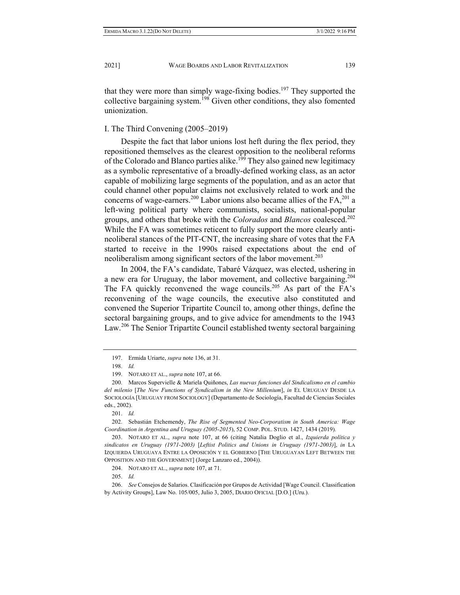that they were more than simply wage-fixing bodies.<sup>197</sup> They supported the collective bargaining system.<sup>198</sup> Given other conditions, they also fomented unionization.

#### I. The Third Convening (2005–2019)

Despite the fact that labor unions lost heft during the flex period, they repositioned themselves as the clearest opposition to the neoliberal reforms of the Colorado and Blanco parties alike.<sup>199</sup> They also gained new legitimacy as a symbolic representative of a broadly-defined working class, as an actor capable of mobilizing large segments of the population, and as an actor that could channel other popular claims not exclusively related to work and the concerns of wage-earners.<sup>200</sup> Labor unions also became allies of the  $FA$ ,<sup>201</sup> a left-wing political party where communists, socialists, national-popular groups, and others that broke with the *Colorados* and *Blancos* coalesced.<sup>202</sup> While the FA was sometimes reticent to fully support the more clearly antineoliberal stances of the PIT-CNT, the increasing share of votes that the FA started to receive in the 1990s raised expectations about the end of neoliberalism among significant sectors of the labor movement.<sup>203</sup>

In 2004, the FA's candidate, Tabaré Vázquez, was elected, ushering in a new era for Uruguay, the labor movement, and collective bargaining.204 The FA quickly reconvened the wage councils.<sup>205</sup> As part of the FA's reconvening of the wage councils, the executive also constituted and convened the Superior Tripartite Council to, among other things, define the sectoral bargaining groups, and to give advice for amendments to the 1943 Law.<sup>206</sup> The Senior Tripartite Council established twenty sectoral bargaining

 <sup>197.</sup> Ermida Uriarte, *supra* note 136, at 31.

 <sup>198.</sup> *Id.* 

 <sup>199.</sup> NOTARO ET AL., *supra* note 107, at 66.

 <sup>200.</sup> Marcos Supervielle & Mariela Quiñones, *Las nuevas funciones del Sindicalismo en el cambio del milenio* [*The New Functions of Syndicalism in the New Millenium*], *in* EL URUGUAY DESDE LA SOCIOLOGÍA [URUGUAY FROM SOCIOLOGY] (Departamento de Sociología, Facultad de Ciencias Sociales eds., 2002).

 <sup>201.</sup> *Id.*

 <sup>202.</sup> Sebastián Etchemendy, *The Rise of Segmented Neo-Corporatism in South America: Wage Coordination in Argentina and Uruguay (2005-2015*), 52 COMP. POL. STUD. 1427, 1434 (2019).

 <sup>203.</sup> NOTARO ET AL., *supra* note 107, at 66 (citing Natalia Doglio et al., *Izquierda política y sindicatos en Uruguay (1971-2003)* [*Leftist Politics and Unions in Uruguay (1971-2003)*], *in* LA IZQUIERDA URUGUAYA ENTRE LA OPOSICIÓN Y EL GOBIERNO [THE URUGUAYAN LEFT BETWEEN THE OPPOSITION AND THE GOVERNMENT] (Jorge Lanzaro ed., 2004)).

 <sup>204.</sup> NOTARO ET AL., *supra* note 107, at 71.

 <sup>205.</sup> *Id.*

 <sup>206.</sup> *See* Consejos de Salarios. Clasificación por Grupos de Actividad [Wage Council. Classification by Activity Groups], Law No. 105/005, Julio 3, 2005, DIARIO OFICIAL [D.O.] (Uru.).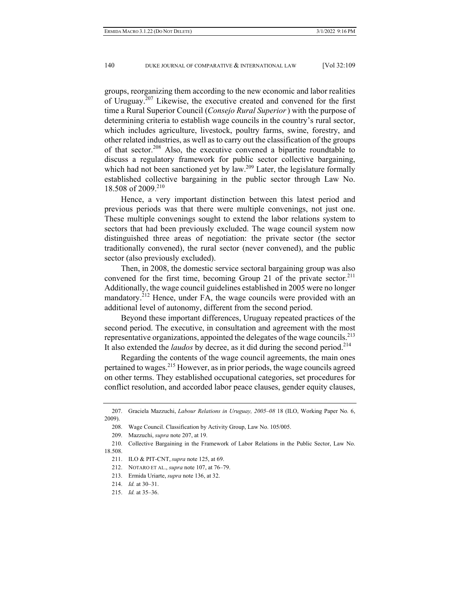groups, reorganizing them according to the new economic and labor realities of Uruguay.<sup>207</sup> Likewise, the executive created and convened for the first time a Rural Superior Council (*Consejo Rural Superior*) with the purpose of determining criteria to establish wage councils in the country's rural sector, which includes agriculture, livestock, poultry farms, swine, forestry, and other related industries, as well as to carry out the classification of the groups of that sector.<sup>208</sup> Also, the executive convened a bipartite roundtable to discuss a regulatory framework for public sector collective bargaining, which had not been sanctioned yet by  $\int a^{209}$  Later, the legislature formally established collective bargaining in the public sector through Law No. 18.508 of 2009.<sup>210</sup>

Hence, a very important distinction between this latest period and previous periods was that there were multiple convenings, not just one. These multiple convenings sought to extend the labor relations system to sectors that had been previously excluded. The wage council system now distinguished three areas of negotiation: the private sector (the sector traditionally convened), the rural sector (never convened), and the public sector (also previously excluded).

Then, in 2008, the domestic service sectoral bargaining group was also convened for the first time, becoming Group 21 of the private sector.<sup>211</sup> Additionally, the wage council guidelines established in 2005 were no longer mandatory.<sup>212</sup> Hence, under FA, the wage councils were provided with an additional level of autonomy, different from the second period.

Beyond these important differences, Uruguay repeated practices of the second period. The executive, in consultation and agreement with the most representative organizations, appointed the delegates of the wage councils.<sup>213</sup> It also extended the *laudos* by decree, as it did during the second period.<sup>214</sup>

Regarding the contents of the wage council agreements, the main ones pertained to wages.215 However, as in prior periods, the wage councils agreed on other terms. They established occupational categories, set procedures for conflict resolution, and accorded labor peace clauses, gender equity clauses,

212. NOTARO ET AL., *supra* note 107, at 76–79.

 <sup>207.</sup> Graciela Mazzuchi, *Labour Relations in Uruguay, 2005*–*08* 18 (ILO, Working Paper No*.* 6, 2009).

 <sup>208.</sup> Wage Council. Classification by Activity Group, Law No. 105/005.

 <sup>209.</sup> Mazzuchi, *supra* note 207, at 19.

 <sup>210.</sup> Collective Bargaining in the Framework of Labor Relations in the Public Sector, Law No. 18.508.

 <sup>211.</sup> ILO & PIT-CNT, *supra* note 125, at 69.

 <sup>213.</sup> Ermida Uriarte, *supra* note 136, at 32.

 <sup>214.</sup> *Id.* at 30–31.

 <sup>215.</sup> *Id.* at 35–36.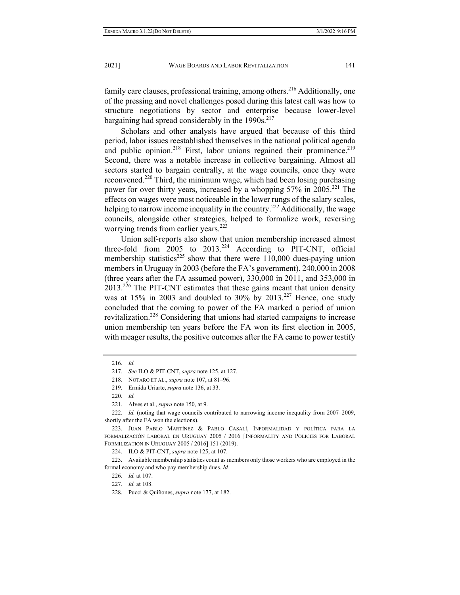family care clauses, professional training, among others.<sup>216</sup> Additionally, one of the pressing and novel challenges posed during this latest call was how to structure negotiations by sector and enterprise because lower-level bargaining had spread considerably in the  $1990s$ <sup>217</sup>

Scholars and other analysts have argued that because of this third period, labor issues reestablished themselves in the national political agenda and public opinion.<sup>218</sup> First, labor unions regained their prominence.<sup>219</sup> Second, there was a notable increase in collective bargaining. Almost all sectors started to bargain centrally, at the wage councils, once they were reconvened.<sup>220</sup> Third, the minimum wage, which had been losing purchasing power for over thirty years, increased by a whopping 57% in 2005.<sup>221</sup> The effects on wages were most noticeable in the lower rungs of the salary scales, helping to narrow income inequality in the country.<sup>222</sup> Additionally, the wage councils, alongside other strategies, helped to formalize work, reversing worrying trends from earlier years.<sup>223</sup>

Union self-reports also show that union membership increased almost three-fold from  $2005$  to  $2013.<sup>224</sup>$  According to PIT-CNT, official membership statistics<sup>225</sup> show that there were  $110,000$  dues-paying union members in Uruguay in 2003 (before the FA's government), 240,000 in 2008 (three years after the FA assumed power), 330,000 in 2011, and 353,000 in  $2013.<sup>226</sup>$  The PIT-CNT estimates that these gains meant that union density was at  $15\%$  in 2003 and doubled to 30% by 2013.<sup>227</sup> Hence, one study concluded that the coming to power of the FA marked a period of union revitalization.<sup>228</sup> Considering that unions had started campaigns to increase union membership ten years before the FA won its first election in 2005, with meager results, the positive outcomes after the FA came to power testify

 <sup>216.</sup> *Id.*

 <sup>217.</sup> *See* ILO & PIT-CNT, *supra* note 125, at 127.

 <sup>218.</sup> NOTARO ET AL., *supra* note 107, at 81–96.

 <sup>219.</sup> Ermida Uriarte, *supra* note 136, at 33.

 <sup>220.</sup> *Id.*

 <sup>221.</sup> Alves et al., *supra* note 150, at 9.

 <sup>222.</sup> *Id.* (noting that wage councils contributed to narrowing income inequality from 2007–2009, shortly after the FA won the elections).

 <sup>223.</sup> JUAN PABLO MARTÍNEZ & PABLO CASALÍ, INFORMALIDAD Y POLÍTICA PARA LA FORMALIZACIÓN LABORAL EN URUGUAY 2005 / 2016 [INFORMALITY AND POLICIES FOR LABORAL FORMILIZATION IN URUGUAY 2005 / 2016] 151 (2019).

 <sup>224.</sup> ILO & PIT-CNT, *supra* note 125, at 107.

 <sup>225.</sup> Available membership statistics count as members only those workers who are employed in the formal economy and who pay membership dues. *Id.*

 <sup>226.</sup> *Id.* at 107.

 <sup>227.</sup> *Id.* at 108.

 <sup>228.</sup> Pucci & Quiñones, *supra* note 177, at 182.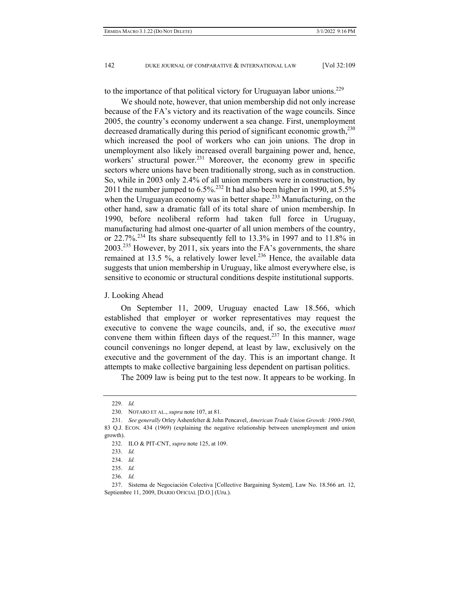to the importance of that political victory for Uruguayan labor unions.<sup>229</sup>

We should note, however, that union membership did not only increase because of the FA's victory and its reactivation of the wage councils. Since 2005, the country's economy underwent a sea change. First, unemployment decreased dramatically during this period of significant economic growth,<sup>230</sup> which increased the pool of workers who can join unions. The drop in unemployment also likely increased overall bargaining power and, hence, workers' structural power.<sup>231</sup> Moreover, the economy grew in specific sectors where unions have been traditionally strong, such as in construction. So, while in 2003 only 2.4% of all union members were in construction, by 2011 the number jumped to  $6.5\%$ <sup>232</sup> It had also been higher in 1990, at  $5.5\%$ when the Uruguayan economy was in better shape.<sup>233</sup> Manufacturing, on the other hand, saw a dramatic fall of its total share of union membership. In 1990, before neoliberal reform had taken full force in Uruguay, manufacturing had almost one-quarter of all union members of the country, or 22.7%.234 Its share subsequently fell to 13.3% in 1997 and to 11.8% in 2003.235 However, by 2011, six years into the FA's governments, the share remained at 13.5 %, a relatively lower level.<sup>236</sup> Hence, the available data suggests that union membership in Uruguay, like almost everywhere else, is sensitive to economic or structural conditions despite institutional supports.

#### J. Looking Ahead

On September 11, 2009, Uruguay enacted Law 18.566, which established that employer or worker representatives may request the executive to convene the wage councils, and, if so, the executive *must* convene them within fifteen days of the request.<sup>237</sup> In this manner, wage council convenings no longer depend, at least by law, exclusively on the executive and the government of the day. This is an important change. It attempts to make collective bargaining less dependent on partisan politics.

The 2009 law is being put to the test now. It appears to be working. In

 <sup>229.</sup> *Id.*

 <sup>230.</sup> NOTARO ET AL., *supra* note 107, at 81.

 <sup>231.</sup> *See generally* Orley Ashenfelter & John Pencavel, *American Trade Union Growth: 1900-1960*, 83 Q.J. ECON. 434 (1969) (explaining the negative relationship between unemployment and union growth).

 <sup>232.</sup> ILO & PIT-CNT, *supra* note 125, at 109.

 <sup>233.</sup> *Id.*

 <sup>234.</sup> *Id.*

 <sup>235.</sup> *Id.*

 <sup>236.</sup> *Id.*

 <sup>237.</sup> Sistema de Negociación Colectiva [Collective Bargaining System], Law No. 18.566 art. 12, Septiembre 11, 2009, DIARIO OFICIAL [D.O.] (Uru.).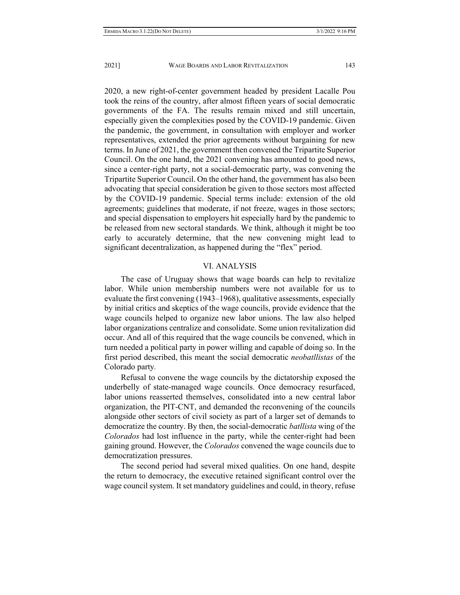2020, a new right-of-center government headed by president Lacalle Pou took the reins of the country, after almost fifteen years of social democratic governments of the FA. The results remain mixed and still uncertain, especially given the complexities posed by the COVID-19 pandemic. Given the pandemic, the government, in consultation with employer and worker representatives, extended the prior agreements without bargaining for new terms. In June of 2021, the government then convened the Tripartite Superior Council. On the one hand, the 2021 convening has amounted to good news, since a center-right party, not a social-democratic party, was convening the Tripartite Superior Council. On the other hand, the government has also been advocating that special consideration be given to those sectors most affected by the COVID-19 pandemic. Special terms include: extension of the old agreements; guidelines that moderate, if not freeze, wages in those sectors; and special dispensation to employers hit especially hard by the pandemic to be released from new sectoral standards. We think, although it might be too early to accurately determine, that the new convening might lead to significant decentralization, as happened during the "flex" period.

### VI. ANALYSIS

The case of Uruguay shows that wage boards can help to revitalize labor. While union membership numbers were not available for us to evaluate the first convening (1943–1968), qualitative assessments, especially by initial critics and skeptics of the wage councils, provide evidence that the wage councils helped to organize new labor unions. The law also helped labor organizations centralize and consolidate. Some union revitalization did occur. And all of this required that the wage councils be convened, which in turn needed a political party in power willing and capable of doing so. In the first period described, this meant the social democratic *neobatllistas* of the Colorado party*.*

Refusal to convene the wage councils by the dictatorship exposed the underbelly of state-managed wage councils. Once democracy resurfaced, labor unions reasserted themselves, consolidated into a new central labor organization, the PIT-CNT, and demanded the reconvening of the councils alongside other sectors of civil society as part of a larger set of demands to democratize the country. By then, the social-democratic *batllista* wing of the *Colorados* had lost influence in the party, while the center-right had been gaining ground. However, the *Colorados* convened the wage councils due to democratization pressures.

The second period had several mixed qualities. On one hand, despite the return to democracy, the executive retained significant control over the wage council system. It set mandatory guidelines and could, in theory, refuse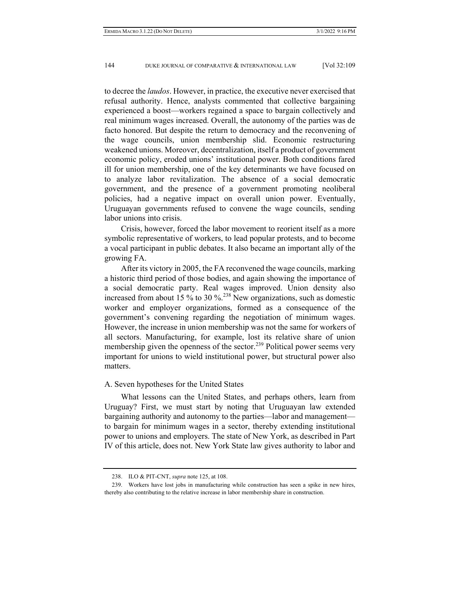to decree the *laudos*. However, in practice, the executive never exercised that refusal authority. Hence, analysts commented that collective bargaining experienced a boost—workers regained a space to bargain collectively and real minimum wages increased. Overall, the autonomy of the parties was de facto honored. But despite the return to democracy and the reconvening of the wage councils, union membership slid. Economic restructuring weakened unions. Moreover, decentralization, itself a product of government economic policy, eroded unions' institutional power. Both conditions fared ill for union membership, one of the key determinants we have focused on to analyze labor revitalization. The absence of a social democratic government, and the presence of a government promoting neoliberal policies, had a negative impact on overall union power. Eventually, Uruguayan governments refused to convene the wage councils, sending labor unions into crisis.

Crisis, however, forced the labor movement to reorient itself as a more symbolic representative of workers, to lead popular protests, and to become a vocal participant in public debates. It also became an important ally of the growing FA.

After its victory in 2005, the FA reconvened the wage councils, marking a historic third period of those bodies, and again showing the importance of a social democratic party. Real wages improved. Union density also increased from about 15 % to 30 % $^{238}$  New organizations, such as domestic worker and employer organizations, formed as a consequence of the government's convening regarding the negotiation of minimum wages. However, the increase in union membership was not the same for workers of all sectors. Manufacturing, for example, lost its relative share of union membership given the openness of the sector.<sup>239</sup> Political power seems very important for unions to wield institutional power, but structural power also matters.

#### A. Seven hypotheses for the United States

What lessons can the United States, and perhaps others, learn from Uruguay? First, we must start by noting that Uruguayan law extended bargaining authority and autonomy to the parties—labor and management to bargain for minimum wages in a sector, thereby extending institutional power to unions and employers. The state of New York, as described in Part IV of this article, does not. New York State law gives authority to labor and

 <sup>238.</sup> ILO & PIT-CNT, *supra* note 125, at 108.

 <sup>239.</sup> Workers have lost jobs in manufacturing while construction has seen a spike in new hires, thereby also contributing to the relative increase in labor membership share in construction.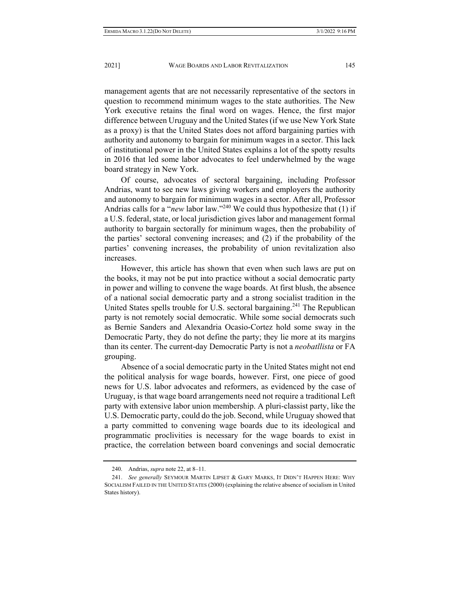management agents that are not necessarily representative of the sectors in question to recommend minimum wages to the state authorities. The New York executive retains the final word on wages. Hence, the first major difference between Uruguay and the United States (if we use New York State as a proxy) is that the United States does not afford bargaining parties with authority and autonomy to bargain for minimum wages in a sector. This lack of institutional power in the United States explains a lot of the spotty results in 2016 that led some labor advocates to feel underwhelmed by the wage board strategy in New York.

Of course, advocates of sectoral bargaining, including Professor Andrias, want to see new laws giving workers and employers the authority and autonomy to bargain for minimum wages in a sector. After all, Professor Andrias calls for a "*new* labor law."240 We could thus hypothesize that (1) if a U.S. federal, state, or local jurisdiction gives labor and management formal authority to bargain sectorally for minimum wages, then the probability of the parties' sectoral convening increases; and (2) if the probability of the parties' convening increases, the probability of union revitalization also increases.

However, this article has shown that even when such laws are put on the books, it may not be put into practice without a social democratic party in power and willing to convene the wage boards. At first blush, the absence of a national social democratic party and a strong socialist tradition in the United States spells trouble for U.S. sectoral bargaining.<sup>241</sup> The Republican party is not remotely social democratic. While some social democrats such as Bernie Sanders and Alexandria Ocasio-Cortez hold some sway in the Democratic Party, they do not define the party; they lie more at its margins than its center. The current-day Democratic Party is not a *neobatllista* or FA grouping.

Absence of a social democratic party in the United States might not end the political analysis for wage boards, however. First, one piece of good news for U.S. labor advocates and reformers, as evidenced by the case of Uruguay, is that wage board arrangements need not require a traditional Left party with extensive labor union membership. A pluri-classist party, like the U.S. Democratic party, could do the job. Second, while Uruguay showed that a party committed to convening wage boards due to its ideological and programmatic proclivities is necessary for the wage boards to exist in practice, the correlation between board convenings and social democratic

 <sup>240.</sup> Andrias, *supra* note 22, at 8–11.

 <sup>241.</sup> *See generally* SEYMOUR MARTIN LIPSET & GARY MARKS, IT DIDN'T HAPPEN HERE: WHY SOCIALISM FAILED IN THE UNITED STATES (2000) (explaining the relative absence of socialism in United States history).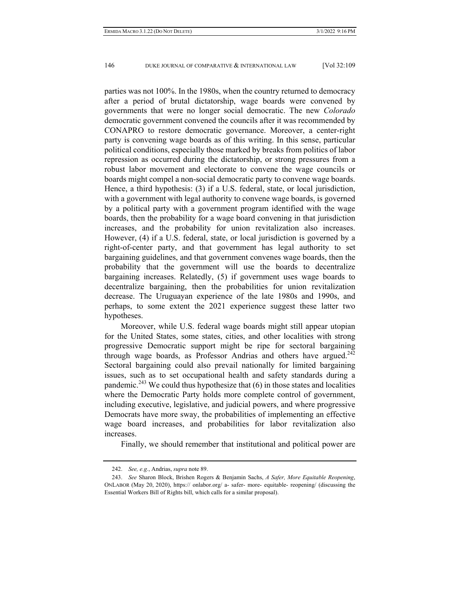parties was not 100%. In the 1980s, when the country returned to democracy after a period of brutal dictatorship, wage boards were convened by governments that were no longer social democratic. The new *Colorado* democratic government convened the councils after it was recommended by CONAPRO to restore democratic governance. Moreover, a center-right party is convening wage boards as of this writing. In this sense, particular political conditions, especially those marked by breaks from politics of labor repression as occurred during the dictatorship, or strong pressures from a robust labor movement and electorate to convene the wage councils or boards might compel a non-social democratic party to convene wage boards. Hence, a third hypothesis: (3) if a U.S. federal, state, or local jurisdiction, with a government with legal authority to convene wage boards, is governed by a political party with a government program identified with the wage boards, then the probability for a wage board convening in that jurisdiction increases, and the probability for union revitalization also increases. However, (4) if a U.S. federal, state, or local jurisdiction is governed by a right-of-center party, and that government has legal authority to set bargaining guidelines, and that government convenes wage boards, then the probability that the government will use the boards to decentralize bargaining increases. Relatedly, (5) if government uses wage boards to decentralize bargaining, then the probabilities for union revitalization decrease. The Uruguayan experience of the late 1980s and 1990s, and perhaps, to some extent the 2021 experience suggest these latter two hypotheses.

Moreover, while U.S. federal wage boards might still appear utopian for the United States, some states, cities, and other localities with strong progressive Democratic support might be ripe for sectoral bargaining through wage boards, as Professor Andrias and others have argued.<sup>242</sup> Sectoral bargaining could also prevail nationally for limited bargaining issues, such as to set occupational health and safety standards during a pandemic.<sup>243</sup> We could thus hypothesize that  $(6)$  in those states and localities where the Democratic Party holds more complete control of government, including executive, legislative, and judicial powers, and where progressive Democrats have more sway, the probabilities of implementing an effective wage board increases, and probabilities for labor revitalization also increases.

Finally, we should remember that institutional and political power are

 <sup>242.</sup> *See, e.g.*, Andrias, *supra* note 89.

 <sup>243.</sup> *See* Sharon Block, Brishen Rogers & Benjamin Sachs, *A Safer, More Equitable Reopening*, ONLABOR (May 20, 2020), https:// onlabor.org/ a- safer- more- equitable- reopening/ (discussing the Essential Workers Bill of Rights bill, which calls for a similar proposal).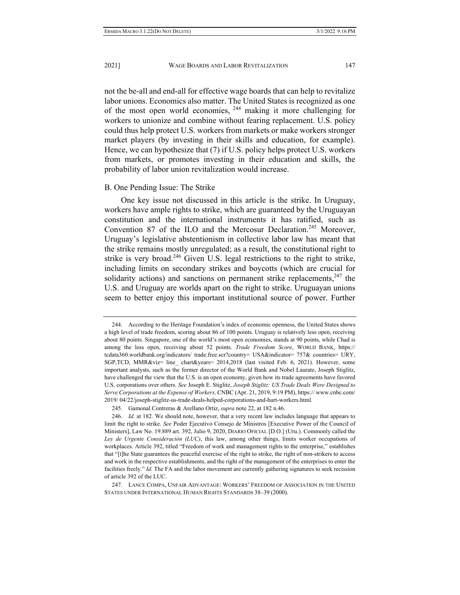not the be-all and end-all for effective wage boards that can help to revitalize labor unions. Economics also matter. The United States is recognized as one of the most open world economies, 244 making it more challenging for workers to unionize and combine without fearing replacement. U.S. policy could thus help protect U.S. workers from markets or make workers stronger market players (by investing in their skills and education, for example). Hence, we can hypothesize that (7) if U.S. policy helps protect U.S. workers from markets, or promotes investing in their education and skills, the probability of labor union revitalization would increase.

#### B. One Pending Issue: The Strike

One key issue not discussed in this article is the strike. In Uruguay, workers have ample rights to strike, which are guaranteed by the Uruguayan constitution and the international instruments it has ratified, such as Convention 87 of the ILO and the Mercosur Declaration.<sup>245</sup> Moreover, Uruguay's legislative abstentionism in collective labor law has meant that the strike remains mostly unregulated; as a result, the constitutional right to strike is very broad.<sup>246</sup> Given U.S. legal restrictions to the right to strike, including limits on secondary strikes and boycotts (which are crucial for solidarity actions) and sanctions on permanent strike replacements,  $247$  the U.S. and Uruguay are worlds apart on the right to strike. Uruguayan unions seem to better enjoy this important institutional source of power. Further

 <sup>244.</sup> According to the Heritage Foundation's index of economic openness, the United States shows a high level of trade freedom, scoring about 86 of 100 points. Uruguay is relatively less open, receiving about 80 points. Singapore, one of the world's most open economies, stands at 90 points, while Chad is among the less open, receiving about 52 points. *Trade Freedom Score*, WORLD BANK, https:// tcdata360.worldbank.org/indicators/ trade.free.scr?country= USA&indicator= 757& countries= URY, SGP,TCD, MMR&viz= line\_ chart&years= 2014,2018 (last visited Feb. 6, 2021). However, some important analysts, such as the former director of the World Bank and Nobel Laurate, Joseph Stiglitz, have challenged the view that the U.S. is an open economy, given how its trade agreements have favored U.S. corporations over others. *See* Joseph E. Stiglitz, *Joseph Stiglitz: US Trade Deals Were Designed to Serve Corporations at the Expense of Workers,* CNBC (Apr. 21, 2019, 9:19 PM), https:// www.cnbc.com/ 2019/ 04/22/joseph-stiglitz-us-trade-deals-helped-corporations-and-hurt-workers.html.

 <sup>245.</sup> Gamonal Contreras & Arellano Ortiz, *supra* note 22, at 182 n.46.

 <sup>246.</sup> *Id.* at 182. We should note, however, that a very recent law includes language that appears to limit the right to strike. *See* Poder Ejecutivo Consejo de Ministros [Executive Power of the Council of Ministers], Law No. 19.889 art. 392, Julio 9, 2020, DIARIO OFICIAL [D.O.] (Uru.). Commonly called the *Ley de Urgente Consideración (LUC)*, this law, among other things, limits worker occupations of workplaces. Article 392, titled "Freedom of work and management rights to the enterprise," establishes that "[t]he State guarantees the peaceful exercise of the right to strike, the right of non-strikers to access and work in the respective establishments, and the right of the management of the enterprises to enter the facilities freely." *Id.* The FA and the labor movement are currently gathering signatures to seek recission of article 392 of the LUC.

 <sup>247.</sup> LANCE COMPA, UNFAIR ADVANTAGE: WORKERS' FREEDOM OF ASSOCIATION IN THE UNITED STATES UNDER INTERNATIONAL HUMAN RIGHTS STANDARDS 38–39 (2000).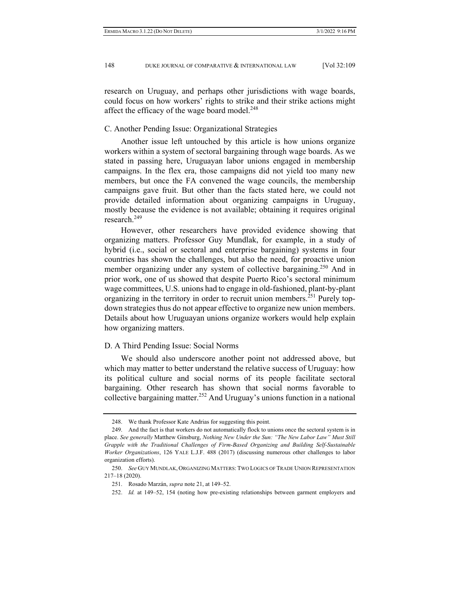research on Uruguay, and perhaps other jurisdictions with wage boards, could focus on how workers' rights to strike and their strike actions might affect the efficacy of the wage board model.<sup>248</sup>

#### C. Another Pending Issue: Organizational Strategies

Another issue left untouched by this article is how unions organize workers within a system of sectoral bargaining through wage boards. As we stated in passing here, Uruguayan labor unions engaged in membership campaigns. In the flex era, those campaigns did not yield too many new members, but once the FA convened the wage councils, the membership campaigns gave fruit. But other than the facts stated here, we could not provide detailed information about organizing campaigns in Uruguay, mostly because the evidence is not available; obtaining it requires original research.<sup>249</sup>

However, other researchers have provided evidence showing that organizing matters. Professor Guy Mundlak, for example, in a study of hybrid (i.e., social or sectoral and enterprise bargaining) systems in four countries has shown the challenges, but also the need, for proactive union member organizing under any system of collective bargaining.<sup>250</sup> And in prior work, one of us showed that despite Puerto Rico's sectoral minimum wage committees, U.S. unions had to engage in old-fashioned, plant-by-plant organizing in the territory in order to recruit union members.<sup>251</sup> Purely topdown strategies thus do not appear effective to organize new union members. Details about how Uruguayan unions organize workers would help explain how organizing matters.

#### D. A Third Pending Issue: Social Norms

We should also underscore another point not addressed above, but which may matter to better understand the relative success of Uruguay: how its political culture and social norms of its people facilitate sectoral bargaining. Other research has shown that social norms favorable to collective bargaining matter.<sup>252</sup> And Uruguay's unions function in a national

 <sup>248.</sup> We thank Professor Kate Andrias for suggesting this point.

 <sup>249.</sup> And the fact is that workers do not automatically flock to unions once the sectoral system is in place. *See generally* Matthew Ginsburg, *Nothing New Under the Sun: "The New Labor Law" Must Still Grapple with the Traditional Challenges of Firm-Based Organizing and Building Self-Sustainable Worker Organizations*, 126 YALE L.J.F. 488 (2017) (discussing numerous other challenges to labor organization efforts).

 <sup>250.</sup> *See* GUY MUNDLAK, ORGANIZING MATTERS: TWO LOGICS OF TRADE UNION REPRESENTATION 217–18 (2020).

 <sup>251.</sup> Rosado Marzán, *supra* note 21, at 149–52.

 <sup>252.</sup> *Id.* at 149–52, 154 (noting how pre-existing relationships between garment employers and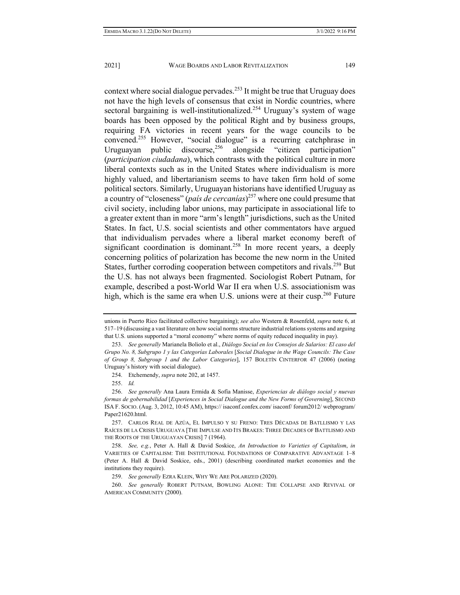context where social dialogue pervades.<sup>253</sup> It might be true that Uruguay does not have the high levels of consensus that exist in Nordic countries, where sectoral bargaining is well-institutionalized.<sup>254</sup> Uruguay's system of wage boards has been opposed by the political Right and by business groups, requiring FA victories in recent years for the wage councils to be convened.255 However, "social dialogue" is a recurring catchphrase in Uruguayan public discourse,<sup>256</sup> alongside "citizen participation" (*participation ciudadana*), which contrasts with the political culture in more liberal contexts such as in the United States where individualism is more highly valued, and libertarianism seems to have taken firm hold of some political sectors. Similarly, Uruguayan historians have identified Uruguay as a country of "closeness" (*país de cercanías*) 257 where one could presume that civil society, including labor unions, may participate in associational life to a greater extent than in more "arm's length" jurisdictions, such as the United States. In fact, U.S. social scientists and other commentators have argued that individualism pervades where a liberal market economy bereft of significant coordination is dominant.<sup>258</sup> In more recent years, a deeply concerning politics of polarization has become the new norm in the United States, further corroding cooperation between competitors and rivals.<sup>259</sup> But the U.S. has not always been fragmented. Sociologist Robert Putnam, for example, described a post-World War II era when U.S. associationism was high, which is the same era when U.S. unions were at their cusp.<sup>260</sup> Future

unions in Puerto Rico facilitated collective bargaining); *see also* Western & Rosenfeld, *supra* note 6, at 517–19 (discussing a vast literature on how social norms structure industrial relations systems and arguing that U.S. unions supported a "moral economy" where norms of equity reduced inequality in pay).

 <sup>253.</sup> *See generally* Marianela Boliolo et al., *Diálogo Social en los Consejos de Salarios: El caso del Grupo No. 8, Subgrupo 1 y las Categorías Laborales* [*Social Dialogue in the Wage Councils: The Case of Group 8, Subgroup 1 and the Labor Categories*], 157 BOLETÍN CINTERFOR 47 (2006) (noting Uruguay's history with social dialogue).

 <sup>254.</sup> Etchemendy, *supra* note 202, at 1457.

 <sup>255.</sup> *Id.* 

 <sup>256.</sup> *See generally* Ana Laura Ermida & Sofía Manisse, *Experiencias de diálogo social y nuevas formas de gobernabilidad* [*Experiences in Social Dialogue and the New Forms of Governing*], SECOND ISA F. SOCIO. (Aug. 3, 2012, 10:45 AM), https:// isaconf.confex.com/ isaconf/ forum2012/ webprogram/ Paper21620.html.

 <sup>257.</sup> CARLOS REAL DE AZÚA, EL IMPULSO Y SU FRENO: TRES DÉCADAS DE BATLLISMO Y LAS RAÍCES DE LA CRISIS URUGUAYA [THE IMPULSE AND ITS BRAKES: THREE DECADES OF BATTLISMO AND THE ROOTS OF THE URUGUAYAN CRISIS] 7 (1964).

 <sup>258.</sup> *See, e.g.*, Peter A. Hall & David Soskice, *An Introduction to Varieties of Capitalism*, *in* VARIETIES OF CAPITALISM: THE INSTITUTIONAL FOUNDATIONS OF COMPARATIVE ADVANTAGE 1–8 (Peter A. Hall & David Soskice, eds., 2001) (describing coordinated market economies and the institutions they require).

 <sup>259.</sup> *See generally* EZRA KLEIN, WHY WE ARE POLARIZED (2020).

 <sup>260.</sup> *See generally* ROBERT PUTNAM, BOWLING ALONE: THE COLLAPSE AND REVIVAL OF AMERICAN COMMUNITY (2000).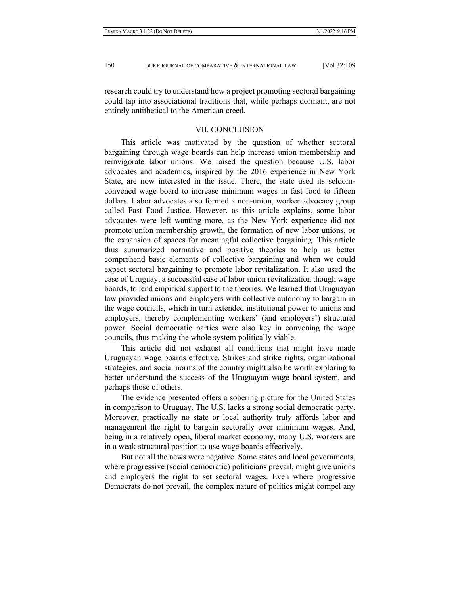research could try to understand how a project promoting sectoral bargaining could tap into associational traditions that, while perhaps dormant, are not entirely antithetical to the American creed.

#### VII. CONCLUSION

This article was motivated by the question of whether sectoral bargaining through wage boards can help increase union membership and reinvigorate labor unions. We raised the question because U.S. labor advocates and academics, inspired by the 2016 experience in New York State, are now interested in the issue. There, the state used its seldomconvened wage board to increase minimum wages in fast food to fifteen dollars. Labor advocates also formed a non-union, worker advocacy group called Fast Food Justice. However, as this article explains, some labor advocates were left wanting more, as the New York experience did not promote union membership growth, the formation of new labor unions, or the expansion of spaces for meaningful collective bargaining. This article thus summarized normative and positive theories to help us better comprehend basic elements of collective bargaining and when we could expect sectoral bargaining to promote labor revitalization. It also used the case of Uruguay, a successful case of labor union revitalization though wage boards, to lend empirical support to the theories. We learned that Uruguayan law provided unions and employers with collective autonomy to bargain in the wage councils, which in turn extended institutional power to unions and employers, thereby complementing workers' (and employers') structural power. Social democratic parties were also key in convening the wage councils, thus making the whole system politically viable.

This article did not exhaust all conditions that might have made Uruguayan wage boards effective. Strikes and strike rights, organizational strategies, and social norms of the country might also be worth exploring to better understand the success of the Uruguayan wage board system, and perhaps those of others.

The evidence presented offers a sobering picture for the United States in comparison to Uruguay. The U.S. lacks a strong social democratic party. Moreover, practically no state or local authority truly affords labor and management the right to bargain sectorally over minimum wages. And, being in a relatively open, liberal market economy, many U.S. workers are in a weak structural position to use wage boards effectively.

But not all the news were negative. Some states and local governments, where progressive (social democratic) politicians prevail, might give unions and employers the right to set sectoral wages. Even where progressive Democrats do not prevail, the complex nature of politics might compel any